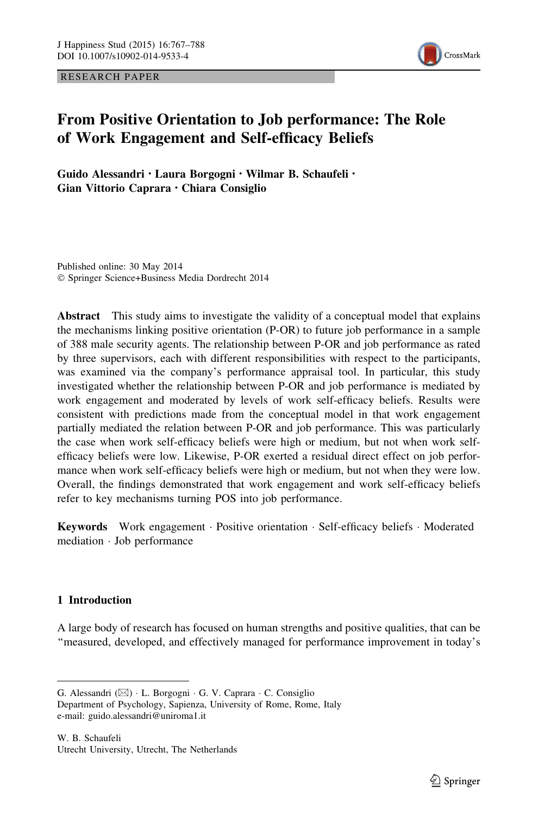RESEARCH PAPER



# From Positive Orientation to Job performance: The Role of Work Engagement and Self-efficacy Beliefs

Guido Alessandri • Laura Borgogni • Wilmar B. Schaufeli • Gian Vittorio Caprara • Chiara Consiglio

Published online: 30 May 2014 - Springer Science+Business Media Dordrecht 2014

Abstract This study aims to investigate the validity of a conceptual model that explains the mechanisms linking positive orientation (P-OR) to future job performance in a sample of 388 male security agents. The relationship between P-OR and job performance as rated by three supervisors, each with different responsibilities with respect to the participants, was examined via the company's performance appraisal tool. In particular, this study investigated whether the relationship between P-OR and job performance is mediated by work engagement and moderated by levels of work self-efficacy beliefs. Results were consistent with predictions made from the conceptual model in that work engagement partially mediated the relation between P-OR and job performance. This was particularly the case when work self-efficacy beliefs were high or medium, but not when work selfefficacy beliefs were low. Likewise, P-OR exerted a residual direct effect on job performance when work self-efficacy beliefs were high or medium, but not when they were low. Overall, the findings demonstrated that work engagement and work self-efficacy beliefs refer to key mechanisms turning POS into job performance.

Keywords Work engagement · Positive orientation · Self-efficacy beliefs · Moderated mediation - Job performance

## 1 Introduction

A large body of research has focused on human strengths and positive qualities, that can be ''measured, developed, and effectively managed for performance improvement in today's

G. Alessandri ( $\boxtimes$ ) · L. Borgogni · G. V. Caprara · C. Consiglio Department of Psychology, Sapienza, University of Rome, Rome, Italy e-mail: guido.alessandri@uniroma1.it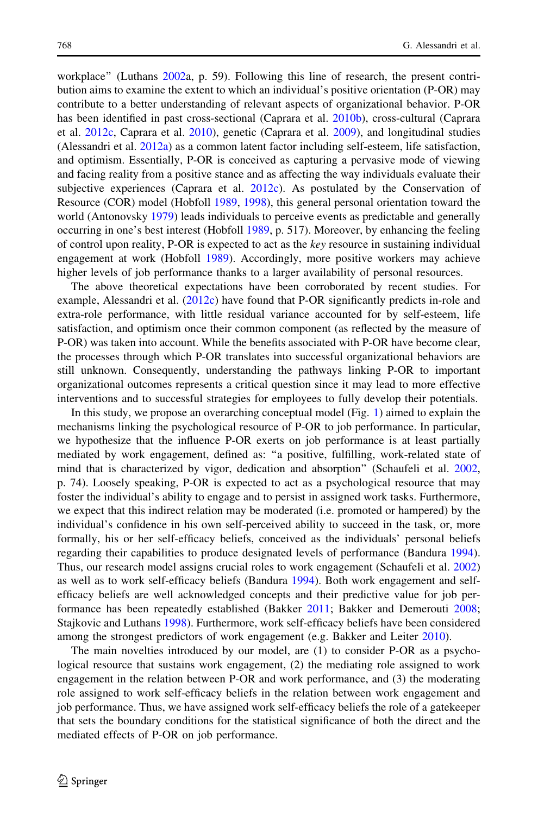workplace'' (Luthans [2002a](#page-19-0), p. 59). Following this line of research, the present contribution aims to examine the extent to which an individual's positive orientation (P-OR) may contribute to a better understanding of relevant aspects of organizational behavior. P-OR has been identified in past cross-sectional (Caprara et al. [2010b](#page-18-0)), cross-cultural (Caprara et al. [2012c,](#page-18-0) Caprara et al. [2010](#page-18-0)), genetic (Caprara et al. [2009](#page-18-0)), and longitudinal studies (Alessandri et al. [2012a\)](#page-17-0) as a common latent factor including self-esteem, life satisfaction, and optimism. Essentially, P-OR is conceived as capturing a pervasive mode of viewing and facing reality from a positive stance and as affecting the way individuals evaluate their subjective experiences (Caprara et al. [2012c\)](#page-18-0). As postulated by the Conservation of Resource (COR) model (Hobfoll [1989,](#page-18-0) [1998\)](#page-18-0), this general personal orientation toward the world (Antonovsky [1979](#page-17-0)) leads individuals to perceive events as predictable and generally occurring in one's best interest (Hobfoll [1989](#page-18-0), p. 517). Moreover, by enhancing the feeling of control upon reality, P-OR is expected to act as the key resource in sustaining individual engagement at work (Hobfoll [1989](#page-18-0)). Accordingly, more positive workers may achieve higher levels of job performance thanks to a larger availability of personal resources.

The above theoretical expectations have been corroborated by recent studies. For example, Alessandri et al. [\(2012c](#page-17-0)) have found that P-OR significantly predicts in-role and extra-role performance, with little residual variance accounted for by self-esteem, life satisfaction, and optimism once their common component (as reflected by the measure of P-OR) was taken into account. While the benefits associated with P-OR have become clear, the processes through which P-OR translates into successful organizational behaviors are still unknown. Consequently, understanding the pathways linking P-OR to important organizational outcomes represents a critical question since it may lead to more effective interventions and to successful strategies for employees to fully develop their potentials.

In this study, we propose an overarching conceptual model (Fig. [1\)](#page-2-0) aimed to explain the mechanisms linking the psychological resource of P-OR to job performance. In particular, we hypothesize that the influence P-OR exerts on job performance is at least partially mediated by work engagement, defined as: ''a positive, fulfilling, work-related state of mind that is characterized by vigor, dedication and absorption'' (Schaufeli et al. [2002](#page-20-0), p. 74). Loosely speaking, P-OR is expected to act as a psychological resource that may foster the individual's ability to engage and to persist in assigned work tasks. Furthermore, we expect that this indirect relation may be moderated (i.e. promoted or hampered) by the individual's confidence in his own self-perceived ability to succeed in the task, or, more formally, his or her self-efficacy beliefs, conceived as the individuals' personal beliefs regarding their capabilities to produce designated levels of performance (Bandura [1994](#page-17-0)). Thus, our research model assigns crucial roles to work engagement (Schaufeli et al. [2002](#page-20-0)) as well as to work self-efficacy beliefs (Bandura [1994](#page-17-0)). Both work engagement and selfefficacy beliefs are well acknowledged concepts and their predictive value for job performance has been repeatedly established (Bakker [2011;](#page-17-0) Bakker and Demerouti [2008;](#page-17-0) Stajkovic and Luthans [1998\)](#page-20-0). Furthermore, work self-efficacy beliefs have been considered among the strongest predictors of work engagement (e.g. Bakker and Leiter [2010\)](#page-17-0).

The main novelties introduced by our model, are (1) to consider P-OR as a psychological resource that sustains work engagement, (2) the mediating role assigned to work engagement in the relation between P-OR and work performance, and (3) the moderating role assigned to work self-efficacy beliefs in the relation between work engagement and job performance. Thus, we have assigned work self-efficacy beliefs the role of a gatekeeper that sets the boundary conditions for the statistical significance of both the direct and the mediated effects of P-OR on job performance.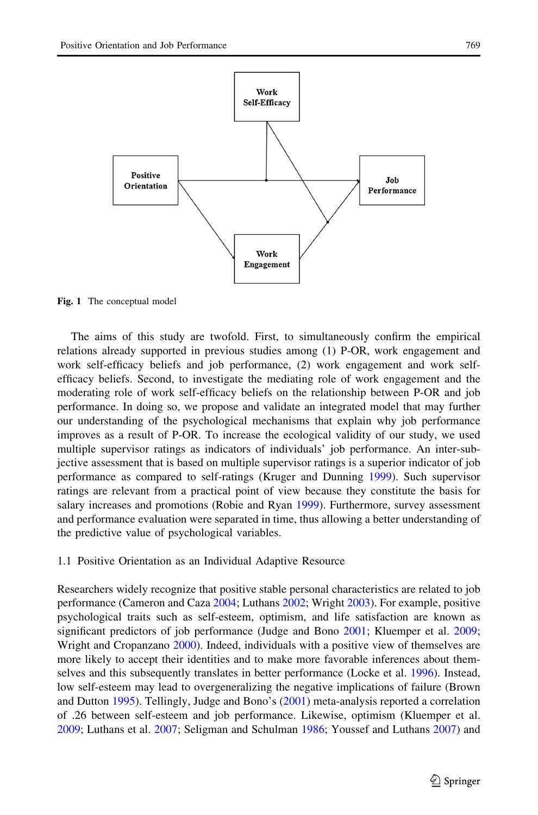<span id="page-2-0"></span>

Fig. 1 The conceptual model

The aims of this study are twofold. First, to simultaneously confirm the empirical relations already supported in previous studies among (1) P-OR, work engagement and work self-efficacy beliefs and job performance, (2) work engagement and work selfefficacy beliefs. Second, to investigate the mediating role of work engagement and the moderating role of work self-efficacy beliefs on the relationship between P-OR and job performance. In doing so, we propose and validate an integrated model that may further our understanding of the psychological mechanisms that explain why job performance improves as a result of P-OR. To increase the ecological validity of our study, we used multiple supervisor ratings as indicators of individuals' job performance. An inter-subjective assessment that is based on multiple supervisor ratings is a superior indicator of job performance as compared to self-ratings (Kruger and Dunning [1999](#page-19-0)). Such supervisor ratings are relevant from a practical point of view because they constitute the basis for salary increases and promotions (Robie and Ryan [1999\)](#page-20-0). Furthermore, survey assessment and performance evaluation were separated in time, thus allowing a better understanding of the predictive value of psychological variables.

## 1.1 Positive Orientation as an Individual Adaptive Resource

Researchers widely recognize that positive stable personal characteristics are related to job performance (Cameron and Caza [2004](#page-18-0); Luthans [2002;](#page-19-0) Wright [2003\)](#page-20-0). For example, positive psychological traits such as self-esteem, optimism, and life satisfaction are known as significant predictors of job performance (Judge and Bono [2001;](#page-19-0) Kluemper et al. [2009;](#page-19-0) Wright and Cropanzano [2000](#page-20-0)). Indeed, individuals with a positive view of themselves are more likely to accept their identities and to make more favorable inferences about themselves and this subsequently translates in better performance (Locke et al. [1996](#page-19-0)). Instead, low self-esteem may lead to overgeneralizing the negative implications of failure (Brown and Dutton [1995\)](#page-18-0). Tellingly, Judge and Bono's ([2001\)](#page-19-0) meta-analysis reported a correlation of .26 between self-esteem and job performance. Likewise, optimism (Kluemper et al. [2009;](#page-19-0) Luthans et al. [2007](#page-19-0); Seligman and Schulman [1986](#page-20-0); Youssef and Luthans [2007\)](#page-21-0) and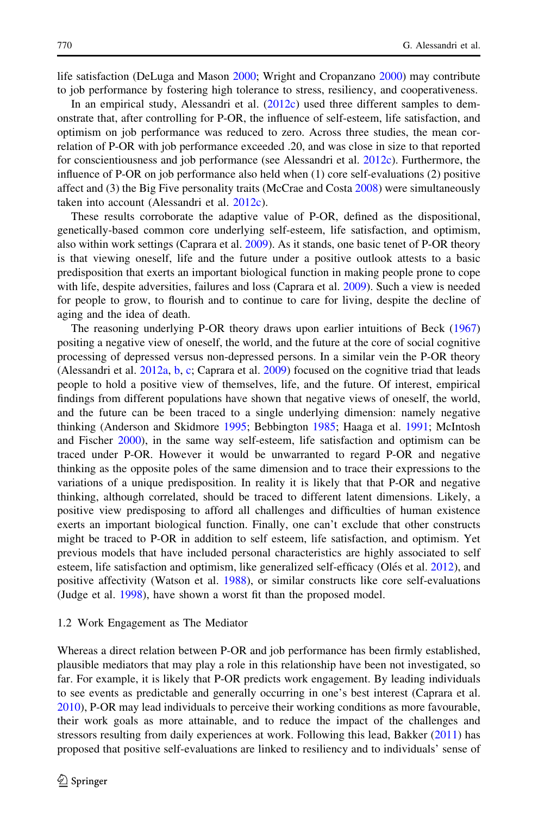life satisfaction (DeLuga and Mason [2000](#page-18-0); Wright and Cropanzano [2000\)](#page-20-0) may contribute to job performance by fostering high tolerance to stress, resiliency, and cooperativeness.

In an empirical study, Alessandri et al. [\(2012c\)](#page-17-0) used three different samples to demonstrate that, after controlling for P-OR, the influence of self-esteem, life satisfaction, and optimism on job performance was reduced to zero. Across three studies, the mean correlation of P-OR with job performance exceeded .20, and was close in size to that reported for conscientiousness and job performance (see Alessandri et al. [2012c](#page-17-0)). Furthermore, the influence of P-OR on job performance also held when (1) core self-evaluations (2) positive affect and (3) the Big Five personality traits (McCrae and Costa [2008](#page-19-0)) were simultaneously taken into account (Alessandri et al. [2012c\)](#page-17-0).

These results corroborate the adaptive value of P-OR, defined as the dispositional, genetically-based common core underlying self-esteem, life satisfaction, and optimism, also within work settings (Caprara et al. [2009](#page-18-0)). As it stands, one basic tenet of P-OR theory is that viewing oneself, life and the future under a positive outlook attests to a basic predisposition that exerts an important biological function in making people prone to cope with life, despite adversities, failures and loss (Caprara et al. [2009](#page-18-0)). Such a view is needed for people to grow, to flourish and to continue to care for living, despite the decline of aging and the idea of death.

The reasoning underlying P-OR theory draws upon earlier intuitions of Beck ([1967](#page-18-0)) positing a negative view of oneself, the world, and the future at the core of social cognitive processing of depressed versus non-depressed persons. In a similar vein the P-OR theory (Alessandri et al. [2012a](#page-17-0), [b](#page-17-0), [c](#page-17-0); Caprara et al. [2009](#page-18-0)) focused on the cognitive triad that leads people to hold a positive view of themselves, life, and the future. Of interest, empirical findings from different populations have shown that negative views of oneself, the world, and the future can be been traced to a single underlying dimension: namely negative thinking (Anderson and Skidmore [1995;](#page-17-0) Bebbington [1985](#page-18-0); Haaga et al. [1991](#page-18-0); McIntosh and Fischer [2000](#page-19-0)), in the same way self-esteem, life satisfaction and optimism can be traced under P-OR. However it would be unwarranted to regard P-OR and negative thinking as the opposite poles of the same dimension and to trace their expressions to the variations of a unique predisposition. In reality it is likely that that P-OR and negative thinking, although correlated, should be traced to different latent dimensions. Likely, a positive view predisposing to afford all challenges and difficulties of human existence exerts an important biological function. Finally, one can't exclude that other constructs might be traced to P-OR in addition to self esteem, life satisfaction, and optimism. Yet previous models that have included personal characteristics are highly associated to self esteem, life satisfaction and optimism, like generalized self-efficacy (Olés et al. [2012\)](#page-19-0), and positive affectivity (Watson et al. [1988\)](#page-20-0), or similar constructs like core self-evaluations (Judge et al. [1998\)](#page-19-0), have shown a worst fit than the proposed model.

## 1.2 Work Engagement as The Mediator

Whereas a direct relation between P-OR and job performance has been firmly established, plausible mediators that may play a role in this relationship have been not investigated, so far. For example, it is likely that P-OR predicts work engagement. By leading individuals to see events as predictable and generally occurring in one's best interest (Caprara et al. [2010\)](#page-18-0), P-OR may lead individuals to perceive their working conditions as more favourable, their work goals as more attainable, and to reduce the impact of the challenges and stressors resulting from daily experiences at work. Following this lead, Bakker [\(2011](#page-17-0)) has proposed that positive self-evaluations are linked to resiliency and to individuals' sense of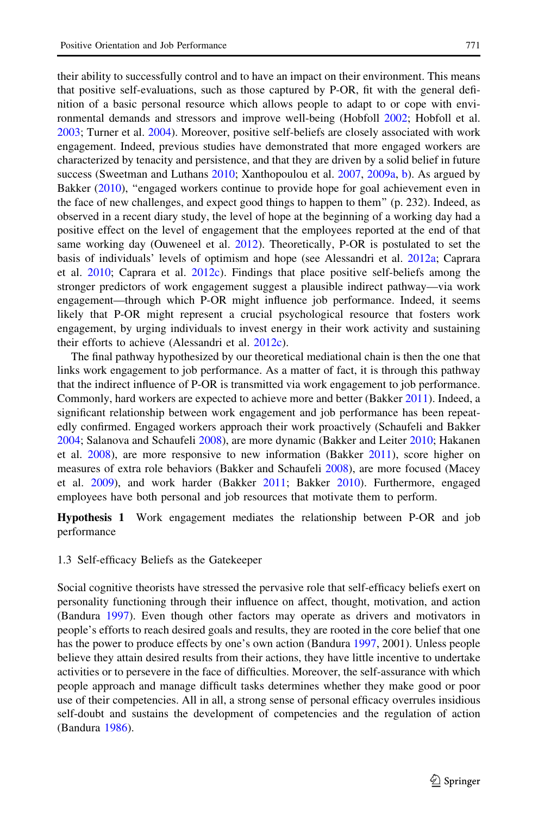their ability to successfully control and to have an impact on their environment. This means that positive self-evaluations, such as those captured by P-OR, fit with the general definition of a basic personal resource which allows people to adapt to or cope with environmental demands and stressors and improve well-being (Hobfoll [2002;](#page-18-0) Hobfoll et al. [2003;](#page-18-0) Turner et al. [2004\)](#page-20-0). Moreover, positive self-beliefs are closely associated with work engagement. Indeed, previous studies have demonstrated that more engaged workers are characterized by tenacity and persistence, and that they are driven by a solid belief in future success (Sweetman and Luthans [2010](#page-20-0); Xanthopoulou et al. [2007,](#page-20-0) [2009a](#page-21-0), [b](#page-21-0)). As argued by Bakker [\(2010](#page-17-0)), "engaged workers continue to provide hope for goal achievement even in the face of new challenges, and expect good things to happen to them'' (p. 232). Indeed, as observed in a recent diary study, the level of hope at the beginning of a working day had a positive effect on the level of engagement that the employees reported at the end of that same working day (Ouweneel et al. [2012](#page-19-0)). Theoretically, P-OR is postulated to set the basis of individuals' levels of optimism and hope (see Alessandri et al. [2012a](#page-17-0); Caprara et al. [2010](#page-18-0); Caprara et al. [2012c\)](#page-18-0). Findings that place positive self-beliefs among the stronger predictors of work engagement suggest a plausible indirect pathway—via work engagement—through which P-OR might influence job performance. Indeed, it seems likely that P-OR might represent a crucial psychological resource that fosters work engagement, by urging individuals to invest energy in their work activity and sustaining their efforts to achieve (Alessandri et al. [2012c](#page-17-0)).

The final pathway hypothesized by our theoretical mediational chain is then the one that links work engagement to job performance. As a matter of fact, it is through this pathway that the indirect influence of P-OR is transmitted via work engagement to job performance. Commonly, hard workers are expected to achieve more and better (Bakker [2011](#page-17-0)). Indeed, a significant relationship between work engagement and job performance has been repeatedly confirmed. Engaged workers approach their work proactively (Schaufeli and Bakker [2004;](#page-20-0) Salanova and Schaufeli [2008](#page-20-0)), are more dynamic (Bakker and Leiter [2010;](#page-17-0) Hakanen et al. [2008\)](#page-18-0), are more responsive to new information (Bakker [2011](#page-17-0)), score higher on measures of extra role behaviors (Bakker and Schaufeli [2008\)](#page-17-0), are more focused (Macey et al. [2009](#page-19-0)), and work harder (Bakker [2011;](#page-17-0) Bakker [2010](#page-17-0)). Furthermore, engaged employees have both personal and job resources that motivate them to perform.

Hypothesis 1 Work engagement mediates the relationship between P-OR and job performance

## 1.3 Self-efficacy Beliefs as the Gatekeeper

Social cognitive theorists have stressed the pervasive role that self-efficacy beliefs exert on personality functioning through their influence on affect, thought, motivation, and action (Bandura [1997\)](#page-17-0). Even though other factors may operate as drivers and motivators in people's efforts to reach desired goals and results, they are rooted in the core belief that one has the power to produce effects by one's own action (Bandura [1997,](#page-17-0) 2001). Unless people believe they attain desired results from their actions, they have little incentive to undertake activities or to persevere in the face of difficulties. Moreover, the self-assurance with which people approach and manage difficult tasks determines whether they make good or poor use of their competencies. All in all, a strong sense of personal efficacy overrules insidious self-doubt and sustains the development of competencies and the regulation of action (Bandura [1986](#page-17-0)).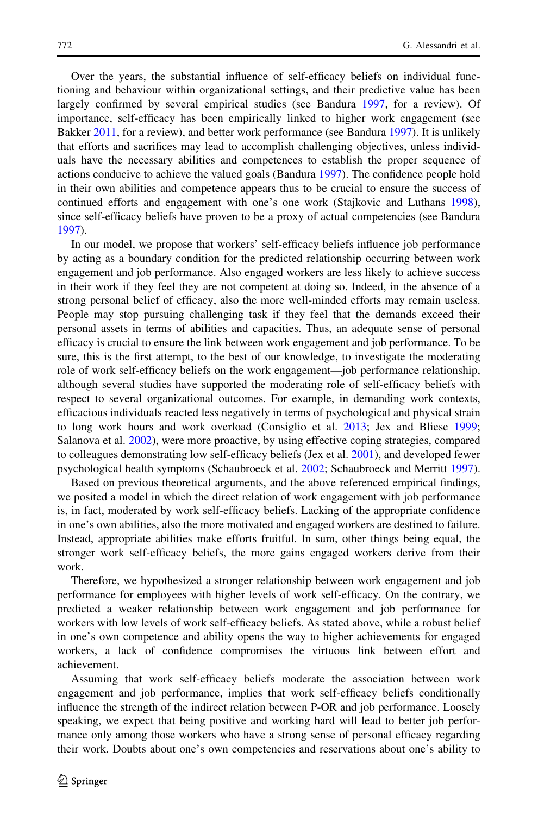Over the years, the substantial influence of self-efficacy beliefs on individual functioning and behaviour within organizational settings, and their predictive value has been largely confirmed by several empirical studies (see Bandura [1997,](#page-17-0) for a review). Of importance, self-efficacy has been empirically linked to higher work engagement (see Bakker [2011](#page-17-0), for a review), and better work performance (see Bandura [1997\)](#page-17-0). It is unlikely that efforts and sacrifices may lead to accomplish challenging objectives, unless individuals have the necessary abilities and competences to establish the proper sequence of actions conducive to achieve the valued goals (Bandura [1997](#page-17-0)). The confidence people hold in their own abilities and competence appears thus to be crucial to ensure the success of continued efforts and engagement with one's one work (Stajkovic and Luthans [1998](#page-20-0)), since self-efficacy beliefs have proven to be a proxy of actual competencies (see Bandura [1997\)](#page-17-0).

In our model, we propose that workers' self-efficacy beliefs influence job performance by acting as a boundary condition for the predicted relationship occurring between work engagement and job performance. Also engaged workers are less likely to achieve success in their work if they feel they are not competent at doing so. Indeed, in the absence of a strong personal belief of efficacy, also the more well-minded efforts may remain useless. People may stop pursuing challenging task if they feel that the demands exceed their personal assets in terms of abilities and capacities. Thus, an adequate sense of personal efficacy is crucial to ensure the link between work engagement and job performance. To be sure, this is the first attempt, to the best of our knowledge, to investigate the moderating role of work self-efficacy beliefs on the work engagement—job performance relationship, although several studies have supported the moderating role of self-efficacy beliefs with respect to several organizational outcomes. For example, in demanding work contexts, efficacious individuals reacted less negatively in terms of psychological and physical strain to long work hours and work overload (Consiglio et al. [2013;](#page-18-0) Jex and Bliese [1999;](#page-18-0) Salanova et al. [2002](#page-20-0)), were more proactive, by using effective coping strategies, compared to colleagues demonstrating low self-efficacy beliefs (Jex et al. [2001](#page-19-0)), and developed fewer psychological health symptoms (Schaubroeck et al. [2002](#page-20-0); Schaubroeck and Merritt [1997](#page-20-0)).

Based on previous theoretical arguments, and the above referenced empirical findings, we posited a model in which the direct relation of work engagement with job performance is, in fact, moderated by work self-efficacy beliefs. Lacking of the appropriate confidence in one's own abilities, also the more motivated and engaged workers are destined to failure. Instead, appropriate abilities make efforts fruitful. In sum, other things being equal, the stronger work self-efficacy beliefs, the more gains engaged workers derive from their work.

Therefore, we hypothesized a stronger relationship between work engagement and job performance for employees with higher levels of work self-efficacy. On the contrary, we predicted a weaker relationship between work engagement and job performance for workers with low levels of work self-efficacy beliefs. As stated above, while a robust belief in one's own competence and ability opens the way to higher achievements for engaged workers, a lack of confidence compromises the virtuous link between effort and achievement.

Assuming that work self-efficacy beliefs moderate the association between work engagement and job performance, implies that work self-efficacy beliefs conditionally influence the strength of the indirect relation between P-OR and job performance. Loosely speaking, we expect that being positive and working hard will lead to better job performance only among those workers who have a strong sense of personal efficacy regarding their work. Doubts about one's own competencies and reservations about one's ability to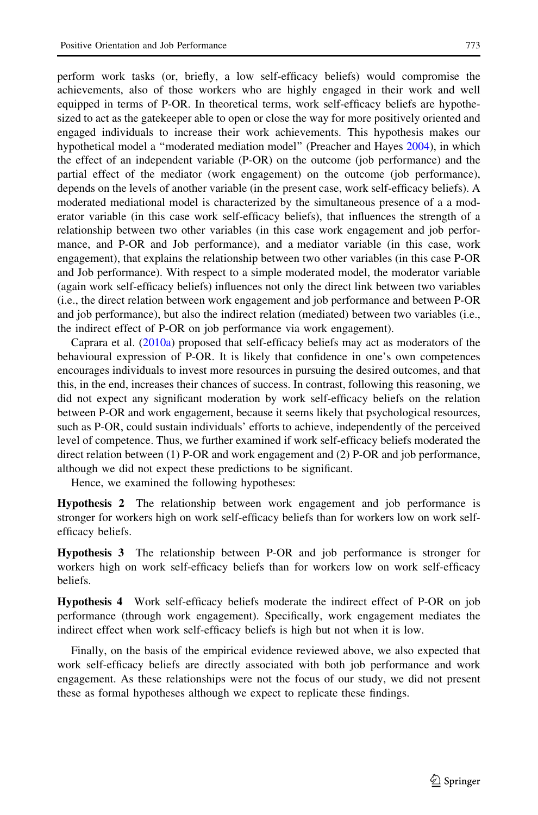perform work tasks (or, briefly, a low self-efficacy beliefs) would compromise the achievements, also of those workers who are highly engaged in their work and well equipped in terms of P-OR. In theoretical terms, work self-efficacy beliefs are hypothesized to act as the gatekeeper able to open or close the way for more positively oriented and engaged individuals to increase their work achievements. This hypothesis makes our hypothetical model a ''moderated mediation model'' (Preacher and Hayes [2004](#page-20-0)), in which the effect of an independent variable (P-OR) on the outcome (job performance) and the partial effect of the mediator (work engagement) on the outcome (job performance), depends on the levels of another variable (in the present case, work self-efficacy beliefs). A moderated mediational model is characterized by the simultaneous presence of a a moderator variable (in this case work self-efficacy beliefs), that influences the strength of a relationship between two other variables (in this case work engagement and job performance, and P-OR and Job performance), and a mediator variable (in this case, work engagement), that explains the relationship between two other variables (in this case P-OR and Job performance). With respect to a simple moderated model, the moderator variable (again work self-efficacy beliefs) influences not only the direct link between two variables (i.e., the direct relation between work engagement and job performance and between P-OR and job performance), but also the indirect relation (mediated) between two variables (i.e., the indirect effect of P-OR on job performance via work engagement).

Caprara et al. ([2010a\)](#page-18-0) proposed that self-efficacy beliefs may act as moderators of the behavioural expression of P-OR. It is likely that confidence in one's own competences encourages individuals to invest more resources in pursuing the desired outcomes, and that this, in the end, increases their chances of success. In contrast, following this reasoning, we did not expect any significant moderation by work self-efficacy beliefs on the relation between P-OR and work engagement, because it seems likely that psychological resources, such as P-OR, could sustain individuals' efforts to achieve, independently of the perceived level of competence. Thus, we further examined if work self-efficacy beliefs moderated the direct relation between (1) P-OR and work engagement and (2) P-OR and job performance, although we did not expect these predictions to be significant.

Hence, we examined the following hypotheses:

Hypothesis 2 The relationship between work engagement and job performance is stronger for workers high on work self-efficacy beliefs than for workers low on work selfefficacy beliefs.

Hypothesis 3 The relationship between P-OR and job performance is stronger for workers high on work self-efficacy beliefs than for workers low on work self-efficacy beliefs.

Hypothesis 4 Work self-efficacy beliefs moderate the indirect effect of P-OR on job performance (through work engagement). Specifically, work engagement mediates the indirect effect when work self-efficacy beliefs is high but not when it is low.

Finally, on the basis of the empirical evidence reviewed above, we also expected that work self-efficacy beliefs are directly associated with both job performance and work engagement. As these relationships were not the focus of our study, we did not present these as formal hypotheses although we expect to replicate these findings.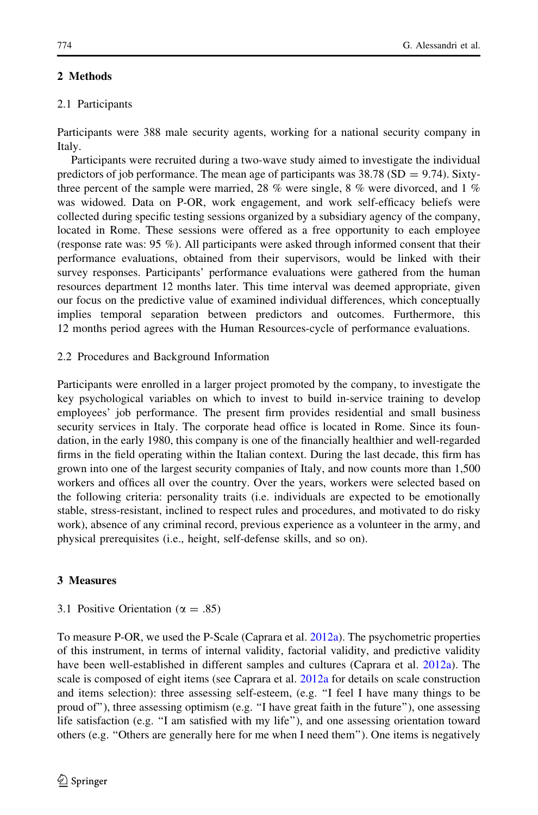# 2 Methods

# 2.1 Participants

Participants were 388 male security agents, working for a national security company in Italy.

Participants were recruited during a two-wave study aimed to investigate the individual predictors of job performance. The mean age of participants was  $38.78$  (SD = 9.74). Sixtythree percent of the sample were married, 28 % were single, 8 % were divorced, and 1 % was widowed. Data on P-OR, work engagement, and work self-efficacy beliefs were collected during specific testing sessions organized by a subsidiary agency of the company, located in Rome. These sessions were offered as a free opportunity to each employee (response rate was: 95 %). All participants were asked through informed consent that their performance evaluations, obtained from their supervisors, would be linked with their survey responses. Participants' performance evaluations were gathered from the human resources department 12 months later. This time interval was deemed appropriate, given our focus on the predictive value of examined individual differences, which conceptually implies temporal separation between predictors and outcomes. Furthermore, this 12 months period agrees with the Human Resources-cycle of performance evaluations.

# 2.2 Procedures and Background Information

Participants were enrolled in a larger project promoted by the company, to investigate the key psychological variables on which to invest to build in-service training to develop employees' job performance. The present firm provides residential and small business security services in Italy. The corporate head office is located in Rome. Since its foundation, in the early 1980, this company is one of the financially healthier and well-regarded firms in the field operating within the Italian context. During the last decade, this firm has grown into one of the largest security companies of Italy, and now counts more than 1,500 workers and offices all over the country. Over the years, workers were selected based on the following criteria: personality traits (i.e. individuals are expected to be emotionally stable, stress-resistant, inclined to respect rules and procedures, and motivated to do risky work), absence of any criminal record, previous experience as a volunteer in the army, and physical prerequisites (i.e., height, self-defense skills, and so on).

# 3 Measures

# 3.1 Positive Orientation ( $\alpha = .85$ )

To measure P-OR, we used the P-Scale (Caprara et al. [2012a\)](#page-18-0). The psychometric properties of this instrument, in terms of internal validity, factorial validity, and predictive validity have been well-established in different samples and cultures (Caprara et al. [2012a\)](#page-18-0). The scale is composed of eight items (see Caprara et al. [2012a](#page-18-0) for details on scale construction and items selection): three assessing self-esteem, (e.g. ''I feel I have many things to be proud of''), three assessing optimism (e.g. ''I have great faith in the future''), one assessing life satisfaction (e.g. "I am satisfied with my life"), and one assessing orientation toward others (e.g. ''Others are generally here for me when I need them''). One items is negatively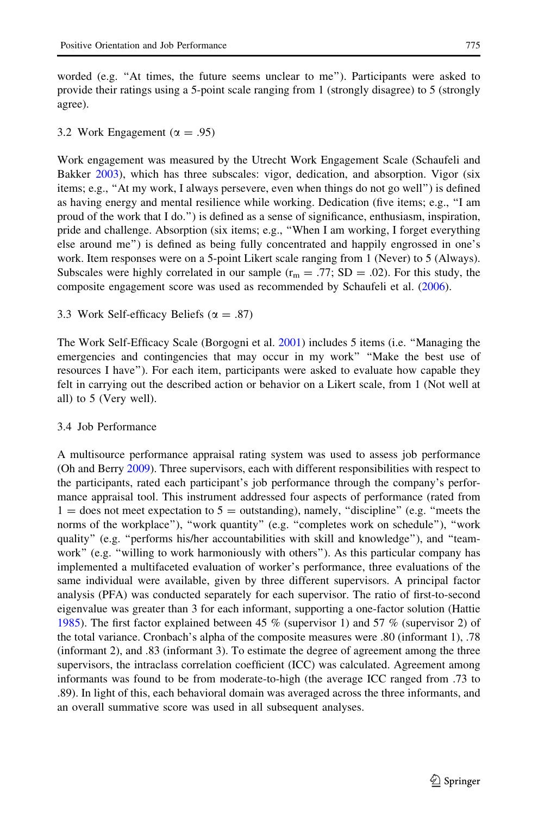3.2 Work Engagement ( $\alpha = .95$ )

Work engagement was measured by the Utrecht Work Engagement Scale (Schaufeli and Bakker [2003](#page-20-0)), which has three subscales: vigor, dedication, and absorption. Vigor (six items; e.g., ''At my work, I always persevere, even when things do not go well'') is defined as having energy and mental resilience while working. Dedication (five items; e.g., ''I am proud of the work that I do.'') is defined as a sense of significance, enthusiasm, inspiration, pride and challenge. Absorption (six items; e.g., ''When I am working, I forget everything else around me'') is defined as being fully concentrated and happily engrossed in one's work. Item responses were on a 5-point Likert scale ranging from 1 (Never) to 5 (Always). Subscales were highly correlated in our sample ( $r_m = .77$ ; SD = .02). For this study, the composite engagement score was used as recommended by Schaufeli et al. ([2006\)](#page-20-0).

3.3 Work Self-efficacy Beliefs ( $\alpha = .87$ )

The Work Self-Efficacy Scale (Borgogni et al. [2001](#page-18-0)) includes 5 items (i.e. ''Managing the emergencies and contingencies that may occur in my work'' ''Make the best use of resources I have''). For each item, participants were asked to evaluate how capable they felt in carrying out the described action or behavior on a Likert scale, from 1 (Not well at all) to 5 (Very well).

# 3.4 Job Performance

A multisource performance appraisal rating system was used to assess job performance (Oh and Berry [2009\)](#page-19-0). Three supervisors, each with different responsibilities with respect to the participants, rated each participant's job performance through the company's performance appraisal tool. This instrument addressed four aspects of performance (rated from  $1 =$  does not meet expectation to  $5 =$  outstanding), namely, "discipline" (e.g. "meets the norms of the workplace"), "work quantity" (e.g. "completes work on schedule"), "work quality'' (e.g. ''performs his/her accountabilities with skill and knowledge''), and ''teamwork'' (e.g. ''willing to work harmoniously with others''). As this particular company has implemented a multifaceted evaluation of worker's performance, three evaluations of the same individual were available, given by three different supervisors. A principal factor analysis (PFA) was conducted separately for each supervisor. The ratio of first-to-second eigenvalue was greater than 3 for each informant, supporting a one-factor solution (Hattie [1985\)](#page-18-0). The first factor explained between 45 % (supervisor 1) and 57 % (supervisor 2) of the total variance. Cronbach's alpha of the composite measures were .80 (informant 1), .78 (informant 2), and .83 (informant 3). To estimate the degree of agreement among the three supervisors, the intraclass correlation coefficient (ICC) was calculated. Agreement among informants was found to be from moderate-to-high (the average ICC ranged from .73 to .89). In light of this, each behavioral domain was averaged across the three informants, and an overall summative score was used in all subsequent analyses.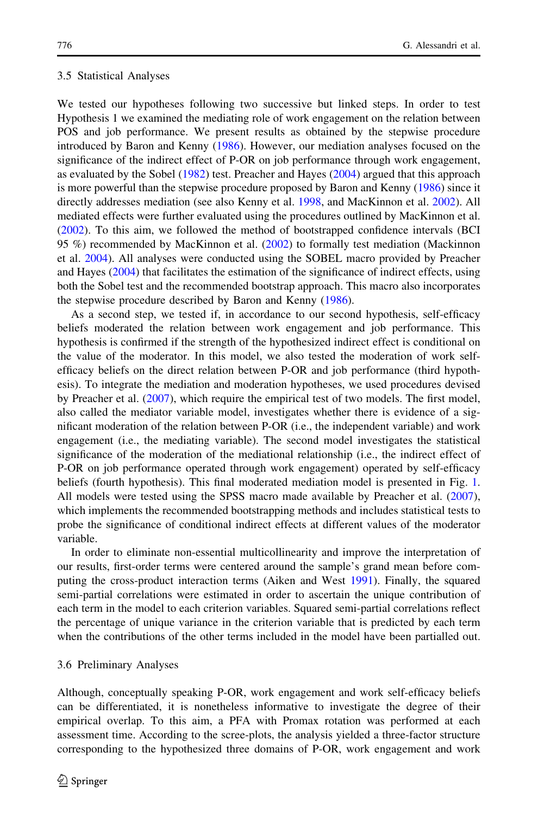#### 3.5 Statistical Analyses

We tested our hypotheses following two successive but linked steps. In order to test Hypothesis 1 we examined the mediating role of work engagement on the relation between POS and job performance. We present results as obtained by the stepwise procedure introduced by Baron and Kenny ([1986\)](#page-17-0). However, our mediation analyses focused on the significance of the indirect effect of P-OR on job performance through work engagement, as evaluated by the Sobel ([1982\)](#page-20-0) test. Preacher and Hayes [\(2004](#page-20-0)) argued that this approach is more powerful than the stepwise procedure proposed by Baron and Kenny [\(1986](#page-17-0)) since it directly addresses mediation (see also Kenny et al. [1998](#page-19-0), and MacKinnon et al. [2002](#page-19-0)). All mediated effects were further evaluated using the procedures outlined by MacKinnon et al. ([2002\)](#page-19-0). To this aim, we followed the method of bootstrapped confidence intervals (BCI 95 %) recommended by MacKinnon et al. [\(2002](#page-19-0)) to formally test mediation (Mackinnon et al. [2004](#page-19-0)). All analyses were conducted using the SOBEL macro provided by Preacher and Hayes ([2004\)](#page-20-0) that facilitates the estimation of the significance of indirect effects, using both the Sobel test and the recommended bootstrap approach. This macro also incorporates the stepwise procedure described by Baron and Kenny [\(1986](#page-17-0)).

As a second step, we tested if, in accordance to our second hypothesis, self-efficacy beliefs moderated the relation between work engagement and job performance. This hypothesis is confirmed if the strength of the hypothesized indirect effect is conditional on the value of the moderator. In this model, we also tested the moderation of work selfefficacy beliefs on the direct relation between P-OR and job performance (third hypothesis). To integrate the mediation and moderation hypotheses, we used procedures devised by Preacher et al. ([2007\)](#page-20-0), which require the empirical test of two models. The first model, also called the mediator variable model, investigates whether there is evidence of a significant moderation of the relation between P-OR (i.e., the independent variable) and work engagement (i.e., the mediating variable). The second model investigates the statistical significance of the moderation of the mediational relationship (i.e., the indirect effect of P-OR on job performance operated through work engagement) operated by self-efficacy beliefs (fourth hypothesis). This final moderated mediation model is presented in Fig. [1](#page-2-0). All models were tested using the SPSS macro made available by Preacher et al. [\(2007](#page-20-0)), which implements the recommended bootstrapping methods and includes statistical tests to probe the significance of conditional indirect effects at different values of the moderator variable.

In order to eliminate non-essential multicollinearity and improve the interpretation of our results, first-order terms were centered around the sample's grand mean before computing the cross-product interaction terms (Aiken and West [1991](#page-17-0)). Finally, the squared semi-partial correlations were estimated in order to ascertain the unique contribution of each term in the model to each criterion variables. Squared semi-partial correlations reflect the percentage of unique variance in the criterion variable that is predicted by each term when the contributions of the other terms included in the model have been partialled out.

#### 3.6 Preliminary Analyses

Although, conceptually speaking P-OR, work engagement and work self-efficacy beliefs can be differentiated, it is nonetheless informative to investigate the degree of their empirical overlap. To this aim, a PFA with Promax rotation was performed at each assessment time. According to the scree-plots, the analysis yielded a three-factor structure corresponding to the hypothesized three domains of P-OR, work engagement and work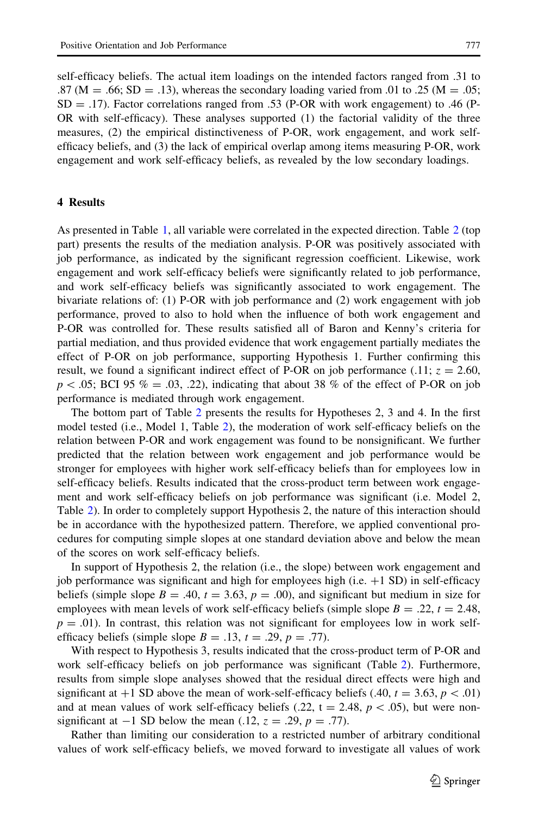self-efficacy beliefs. The actual item loadings on the intended factors ranged from .31 to  $.87 \text{ (M } = .66; \text{ SD } = .13)$ , whereas the secondary loading varied from .01 to .25 (M = .05;  $SD = .17$ ). Factor correlations ranged from .53 (P-OR with work engagement) to .46 (P-OR with self-efficacy). These analyses supported (1) the factorial validity of the three measures, (2) the empirical distinctiveness of P-OR, work engagement, and work selfefficacy beliefs, and (3) the lack of empirical overlap among items measuring P-OR, work engagement and work self-efficacy beliefs, as revealed by the low secondary loadings.

## 4 Results

As presented in Table [1](#page-11-0), all variable were correlated in the expected direction. Table [2](#page-12-0) (top part) presents the results of the mediation analysis. P-OR was positively associated with job performance, as indicated by the significant regression coefficient. Likewise, work engagement and work self-efficacy beliefs were significantly related to job performance, and work self-efficacy beliefs was significantly associated to work engagement. The bivariate relations of: (1) P-OR with job performance and (2) work engagement with job performance, proved to also to hold when the influence of both work engagement and P-OR was controlled for. These results satisfied all of Baron and Kenny's criteria for partial mediation, and thus provided evidence that work engagement partially mediates the effect of P-OR on job performance, supporting Hypothesis 1. Further confirming this result, we found a significant indirect effect of P-OR on job performance (.11;  $z = 2.60$ ,  $p < .05$ ; BCI 95 % = .03, .22), indicating that about 38 % of the effect of P-OR on job performance is mediated through work engagement.

The bottom part of Table [2](#page-12-0) presents the results for Hypotheses 2, 3 and 4. In the first model tested (i.e., Model 1, Table [2\)](#page-12-0), the moderation of work self-efficacy beliefs on the relation between P-OR and work engagement was found to be nonsignificant. We further predicted that the relation between work engagement and job performance would be stronger for employees with higher work self-efficacy beliefs than for employees low in self-efficacy beliefs. Results indicated that the cross-product term between work engagement and work self-efficacy beliefs on job performance was significant (i.e. Model 2, Table [2](#page-12-0)). In order to completely support Hypothesis 2, the nature of this interaction should be in accordance with the hypothesized pattern. Therefore, we applied conventional procedures for computing simple slopes at one standard deviation above and below the mean of the scores on work self-efficacy beliefs.

In support of Hypothesis 2, the relation (i.e., the slope) between work engagement and job performance was significant and high for employees high (i.e.  $+1$  SD) in self-efficacy beliefs (simple slope  $B = .40$ ,  $t = 3.63$ ,  $p = .00$ ), and significant but medium in size for employees with mean levels of work self-efficacy beliefs (simple slope  $B = .22$ ,  $t = 2.48$ ,  $p = .01$ ). In contrast, this relation was not significant for employees low in work selfefficacy beliefs (simple slope  $B = .13$ ,  $t = .29$ ,  $p = .77$ ).

With respect to Hypothesis 3, results indicated that the cross-product term of P-OR and work self-efficacy beliefs on job performance was significant (Table [2\)](#page-12-0). Furthermore, results from simple slope analyses showed that the residual direct effects were high and significant at  $+1$  SD above the mean of work-self-efficacy beliefs (.40,  $t = 3.63$ ,  $p < .01$ ) and at mean values of work self-efficacy beliefs (.22, t = 2.48,  $p\lt$  .05), but were nonsignificant at  $-1$  SD below the mean (.12,  $z = .29$ ,  $p = .77$ ).

Rather than limiting our consideration to a restricted number of arbitrary conditional values of work self-efficacy beliefs, we moved forward to investigate all values of work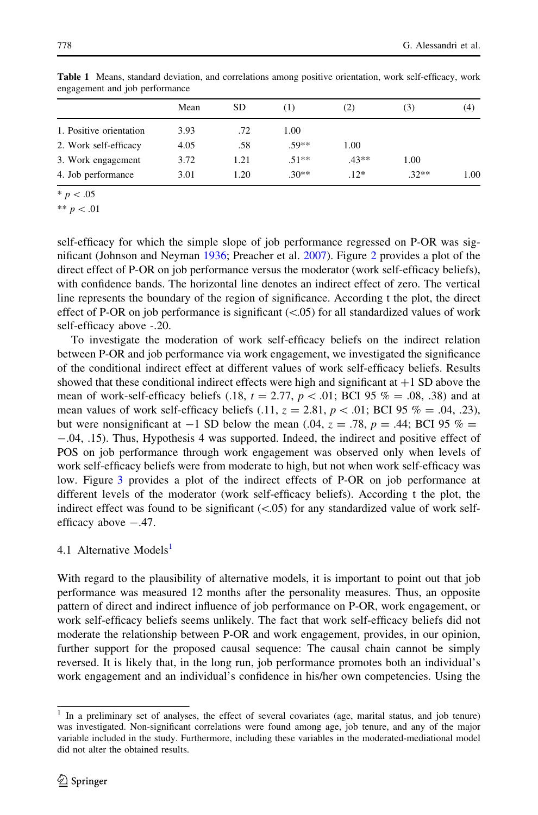| engagement and job performance |      |     |         |        |       |     |
|--------------------------------|------|-----|---------|--------|-------|-----|
|                                | Mean | SD  |         | (2)    | ( ژ ) | (4) |
| 1. Positive orientation        | 3.93 | .72 | 1.00    |        |       |     |
| 2. Work self-efficacy          | 4.05 | .58 | $.59**$ | 1.00   |       |     |
| 3. Work engagement             | 3.72 |     | $.51**$ | $43**$ | .00   |     |

4. Job performance  $3.01$   $1.20$   $.30**$   $.12*$   $.32**$   $1.00$ 

<span id="page-11-0"></span>Table 1 Means, standard deviation, and correlations among positive orientation, work self-efficacy, work  $et$  and job perfo

 $* \, p < .05$ 

\*\*  $p < .01$ 

self-efficacy for which the simple slope of job performance regressed on P-OR was significant (Johnson and Neyman [1936](#page-19-0); Preacher et al. [2007\)](#page-20-0). Figure [2](#page-13-0) provides a plot of the direct effect of P-OR on job performance versus the moderator (work self-efficacy beliefs), with confidence bands. The horizontal line denotes an indirect effect of zero. The vertical line represents the boundary of the region of significance. According t the plot, the direct effect of P-OR on job performance is significant  $(<.05)$  for all standardized values of work self-efficacy above -.20.

To investigate the moderation of work self-efficacy beliefs on the indirect relation between P-OR and job performance via work engagement, we investigated the significance of the conditional indirect effect at different values of work self-efficacy beliefs. Results showed that these conditional indirect effects were high and significant at  $+1$  SD above the mean of work-self-efficacy beliefs (.18,  $t = 2.77$ ,  $p < .01$ ; BCI 95 % = .08, .38) and at mean values of work self-efficacy beliefs (.11,  $z = 2.81$ ,  $p < .01$ ; BCI 95 % = .04, .23), but were nonsignificant at  $-1$  SD below the mean (.04,  $z = .78$ ,  $p = .44$ ; BCI 95 % = -.04, .15). Thus, Hypothesis 4 was supported. Indeed, the indirect and positive effect of POS on job performance through work engagement was observed only when levels of work self-efficacy beliefs were from moderate to high, but not when work self-efficacy was low. Figure [3](#page-13-0) provides a plot of the indirect effects of P-OR on job performance at different levels of the moderator (work self-efficacy beliefs). According t the plot, the indirect effect was found to be significant  $(<.05$ ) for any standardized value of work selfefficacy above  $-.47$ .

# 4.1 Alternative Models<sup>1</sup>

With regard to the plausibility of alternative models, it is important to point out that job performance was measured 12 months after the personality measures. Thus, an opposite pattern of direct and indirect influence of job performance on P-OR, work engagement, or work self-efficacy beliefs seems unlikely. The fact that work self-efficacy beliefs did not moderate the relationship between P-OR and work engagement, provides, in our opinion, further support for the proposed causal sequence: The causal chain cannot be simply reversed. It is likely that, in the long run, job performance promotes both an individual's work engagement and an individual's confidence in his/her own competencies. Using the

<sup>1</sup> In a preliminary set of analyses, the effect of several covariates (age, marital status, and job tenure) was investigated. Non-significant correlations were found among age, job tenure, and any of the major variable included in the study. Furthermore, including these variables in the moderated-mediational model did not alter the obtained results.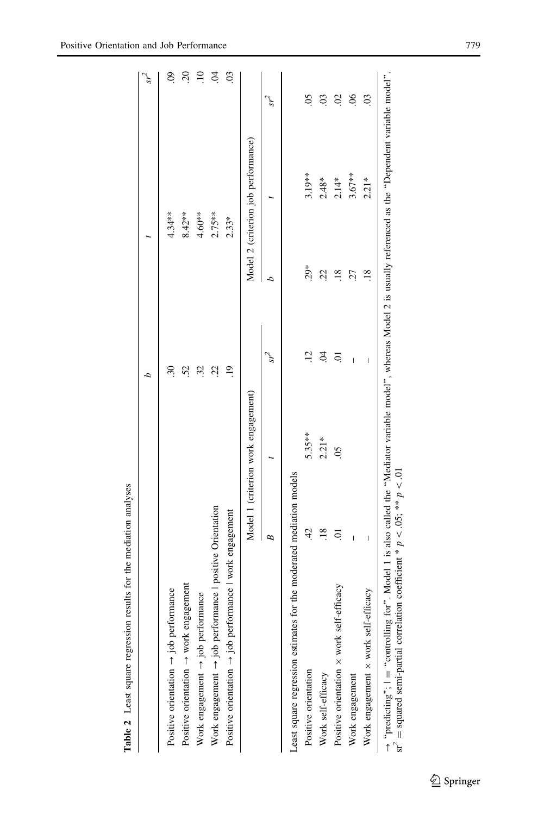<span id="page-12-0"></span>

|                                                                                                                                                                                                                                                                      |                          |                                     |                           |                 |                                     | sr <sup>2</sup>           |
|----------------------------------------------------------------------------------------------------------------------------------------------------------------------------------------------------------------------------------------------------------------------|--------------------------|-------------------------------------|---------------------------|-----------------|-------------------------------------|---------------------------|
| Positive orientation $\rightarrow$ job performance                                                                                                                                                                                                                   |                          |                                     | $\widetilde{\varepsilon}$ |                 | $4.34***$                           | $\ddot{\mathrm{S}}$       |
| Positive orientation $\rightarrow$ work engagement                                                                                                                                                                                                                   |                          |                                     | 52                        |                 | $8.42**$                            | $\overline{c}$            |
| Work engagement $\rightarrow$ job performance                                                                                                                                                                                                                        |                          |                                     | 32                        |                 | $4.60**$                            | $\overline{10}$           |
| Work engagement $\rightarrow$ job performance $\mid$ positive Orientation                                                                                                                                                                                            |                          |                                     | 22.                       |                 | $2.75***$                           | $\dot{5}$                 |
| Positive orientation $\rightarrow$ job performance   work engagement                                                                                                                                                                                                 |                          |                                     | $\ddot{5}$                |                 | $2.33*$                             | $\overline{0}$            |
|                                                                                                                                                                                                                                                                      |                          | Model 1 (criterion work engagement) |                           |                 | Model 2 (criterion job performance) |                           |
|                                                                                                                                                                                                                                                                      | B                        |                                     | $s^2$                     | d               |                                     | $sr^2$                    |
| Least square regression estimates for the moderated mediation models                                                                                                                                                                                                 |                          |                                     |                           |                 |                                     |                           |
| Positive orientation                                                                                                                                                                                                                                                 | $\ddot{4}$               | $5.35***$                           | $\ddot{12}$               | $29*$           | $3.19***$                           | $\overline{0}$            |
| Work self-efficacy                                                                                                                                                                                                                                                   | $\overline{18}$          | $2.21*$                             | S.                        | Sā              | $2.48*$                             | $\overline{0}$            |
| Positive orientation x work self-efficacy                                                                                                                                                                                                                            | $\Xi$                    | $\widetilde{\mathrm{SO}}$           | $\overline{0}$            | $\overline{18}$ | $2.14*$                             | $\mathcal{S}$             |
| Work engagement                                                                                                                                                                                                                                                      | I                        |                                     | Ï                         | 27              | $3.67**$                            | $\widetilde{\mathcal{S}}$ |
| Work engagement x work self-efficacy                                                                                                                                                                                                                                 | $\overline{\phantom{a}}$ |                                     | I                         | $\frac{8}{18}$  | $2.21*$                             | $\mathbf{c}$              |
| $\rightarrow$ "predicting"; $I =$ "controlling for". Model 1 is also called the "Mediator variable model", whereas Model 2 is usually referenced as the "Dependent variable model".<br>sr' = squared semi-partial correlation coefficient * $p < .05$ ; ** $p < .01$ |                          |                                     |                           |                 |                                     |                           |

Table 2 Least square regression results for the mediation analyses Table 2 Least square regression results for the mediation analyses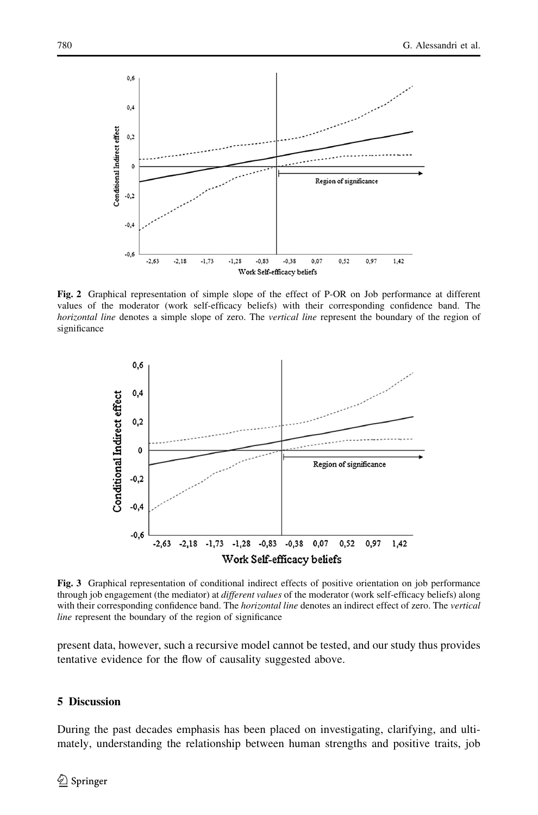<span id="page-13-0"></span>

Fig. 2 Graphical representation of simple slope of the effect of P-OR on Job performance at different values of the moderator (work self-efficacy beliefs) with their corresponding confidence band. The horizontal line denotes a simple slope of zero. The vertical line represent the boundary of the region of significance



Fig. 3 Graphical representation of conditional indirect effects of positive orientation on job performance through job engagement (the mediator) at *different values* of the moderator (work self-efficacy beliefs) along with their corresponding confidence band. The *horizontal line* denotes an indirect effect of zero. The vertical line represent the boundary of the region of significance

present data, however, such a recursive model cannot be tested, and our study thus provides tentative evidence for the flow of causality suggested above.

## 5 Discussion

During the past decades emphasis has been placed on investigating, clarifying, and ultimately, understanding the relationship between human strengths and positive traits, job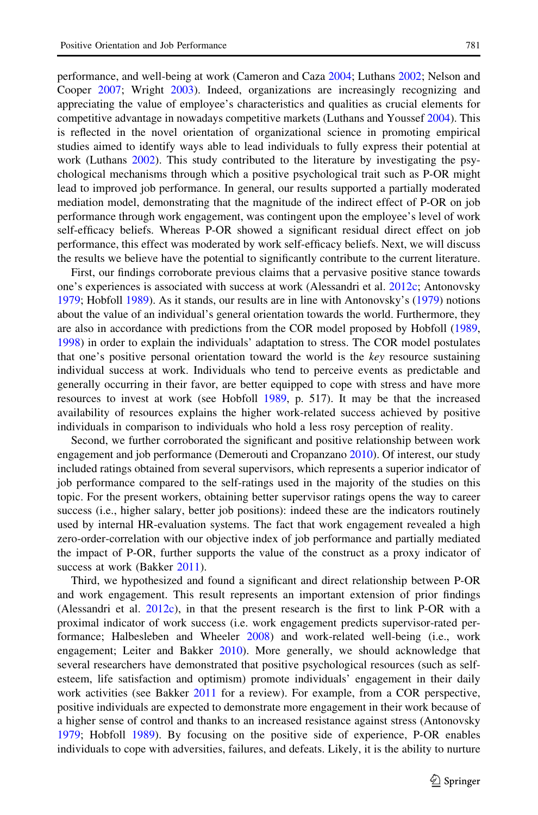performance, and well-being at work (Cameron and Caza [2004](#page-18-0); Luthans [2002](#page-19-0); Nelson and Cooper [2007](#page-19-0); Wright [2003](#page-20-0)). Indeed, organizations are increasingly recognizing and appreciating the value of employee's characteristics and qualities as crucial elements for competitive advantage in nowadays competitive markets (Luthans and Youssef [2004\)](#page-19-0). This is reflected in the novel orientation of organizational science in promoting empirical studies aimed to identify ways able to lead individuals to fully express their potential at work (Luthans [2002\)](#page-19-0). This study contributed to the literature by investigating the psychological mechanisms through which a positive psychological trait such as P-OR might lead to improved job performance. In general, our results supported a partially moderated mediation model, demonstrating that the magnitude of the indirect effect of P-OR on job performance through work engagement, was contingent upon the employee's level of work self-efficacy beliefs. Whereas P-OR showed a significant residual direct effect on job performance, this effect was moderated by work self-efficacy beliefs. Next, we will discuss the results we believe have the potential to significantly contribute to the current literature.

First, our findings corroborate previous claims that a pervasive positive stance towards one's experiences is associated with success at work (Alessandri et al. [2012c](#page-17-0); Antonovsky [1979;](#page-17-0) Hobfoll [1989\)](#page-18-0). As it stands, our results are in line with Antonovsky's [\(1979](#page-17-0)) notions about the value of an individual's general orientation towards the world. Furthermore, they are also in accordance with predictions from the COR model proposed by Hobfoll [\(1989](#page-18-0), [1998\)](#page-18-0) in order to explain the individuals' adaptation to stress. The COR model postulates that one's positive personal orientation toward the world is the key resource sustaining individual success at work. Individuals who tend to perceive events as predictable and generally occurring in their favor, are better equipped to cope with stress and have more resources to invest at work (see Hobfoll [1989](#page-18-0), p. 517). It may be that the increased availability of resources explains the higher work-related success achieved by positive individuals in comparison to individuals who hold a less rosy perception of reality.

Second, we further corroborated the significant and positive relationship between work engagement and job performance (Demerouti and Cropanzano [2010\)](#page-18-0). Of interest, our study included ratings obtained from several supervisors, which represents a superior indicator of job performance compared to the self-ratings used in the majority of the studies on this topic. For the present workers, obtaining better supervisor ratings opens the way to career success (i.e., higher salary, better job positions): indeed these are the indicators routinely used by internal HR-evaluation systems. The fact that work engagement revealed a high zero-order-correlation with our objective index of job performance and partially mediated the impact of P-OR, further supports the value of the construct as a proxy indicator of success at work (Bakker [2011\)](#page-17-0).

Third, we hypothesized and found a significant and direct relationship between P-OR and work engagement. This result represents an important extension of prior findings (Alessandri et al. [2012c](#page-17-0)), in that the present research is the first to link P-OR with a proximal indicator of work success (i.e. work engagement predicts supervisor-rated performance; Halbesleben and Wheeler [2008\)](#page-18-0) and work-related well-being (i.e., work engagement; Leiter and Bakker [2010](#page-19-0)). More generally, we should acknowledge that several researchers have demonstrated that positive psychological resources (such as selfesteem, life satisfaction and optimism) promote individuals' engagement in their daily work activities (see Bakker [2011](#page-17-0) for a review). For example, from a COR perspective, positive individuals are expected to demonstrate more engagement in their work because of a higher sense of control and thanks to an increased resistance against stress (Antonovsky [1979;](#page-17-0) Hobfoll [1989\)](#page-18-0). By focusing on the positive side of experience, P-OR enables individuals to cope with adversities, failures, and defeats. Likely, it is the ability to nurture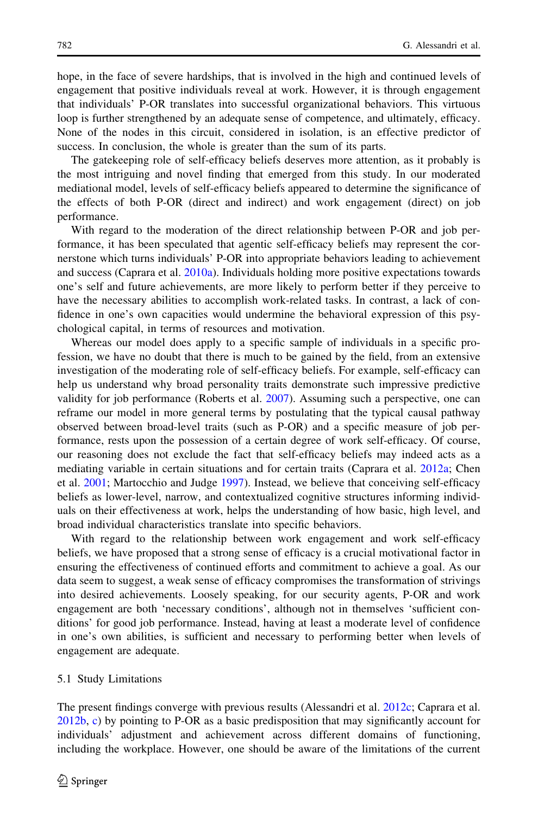hope, in the face of severe hardships, that is involved in the high and continued levels of engagement that positive individuals reveal at work. However, it is through engagement that individuals' P-OR translates into successful organizational behaviors. This virtuous loop is further strengthened by an adequate sense of competence, and ultimately, efficacy. None of the nodes in this circuit, considered in isolation, is an effective predictor of success. In conclusion, the whole is greater than the sum of its parts.

The gatekeeping role of self-efficacy beliefs deserves more attention, as it probably is the most intriguing and novel finding that emerged from this study. In our moderated mediational model, levels of self-efficacy beliefs appeared to determine the significance of the effects of both P-OR (direct and indirect) and work engagement (direct) on job performance.

With regard to the moderation of the direct relationship between P-OR and job performance, it has been speculated that agentic self-efficacy beliefs may represent the cornerstone which turns individuals' P-OR into appropriate behaviors leading to achievement and success (Caprara et al. [2010a\)](#page-18-0). Individuals holding more positive expectations towards one's self and future achievements, are more likely to perform better if they perceive to have the necessary abilities to accomplish work-related tasks. In contrast, a lack of confidence in one's own capacities would undermine the behavioral expression of this psychological capital, in terms of resources and motivation.

Whereas our model does apply to a specific sample of individuals in a specific profession, we have no doubt that there is much to be gained by the field, from an extensive investigation of the moderating role of self-efficacy beliefs. For example, self-efficacy can help us understand why broad personality traits demonstrate such impressive predictive validity for job performance (Roberts et al. [2007](#page-20-0)). Assuming such a perspective, one can reframe our model in more general terms by postulating that the typical causal pathway observed between broad-level traits (such as P-OR) and a specific measure of job performance, rests upon the possession of a certain degree of work self-efficacy. Of course, our reasoning does not exclude the fact that self-efficacy beliefs may indeed acts as a mediating variable in certain situations and for certain traits (Caprara et al. [2012a;](#page-18-0) Chen et al. [2001](#page-18-0); Martocchio and Judge [1997](#page-19-0)). Instead, we believe that conceiving self-efficacy beliefs as lower-level, narrow, and contextualized cognitive structures informing individuals on their effectiveness at work, helps the understanding of how basic, high level, and broad individual characteristics translate into specific behaviors.

With regard to the relationship between work engagement and work self-efficacy beliefs, we have proposed that a strong sense of efficacy is a crucial motivational factor in ensuring the effectiveness of continued efforts and commitment to achieve a goal. As our data seem to suggest, a weak sense of efficacy compromises the transformation of strivings into desired achievements. Loosely speaking, for our security agents, P-OR and work engagement are both 'necessary conditions', although not in themselves 'sufficient conditions' for good job performance. Instead, having at least a moderate level of confidence in one's own abilities, is sufficient and necessary to performing better when levels of engagement are adequate.

## 5.1 Study Limitations

The present findings converge with previous results (Alessandri et al. [2012c](#page-17-0); Caprara et al. [2012b](#page-18-0), [c\)](#page-18-0) by pointing to P-OR as a basic predisposition that may significantly account for individuals' adjustment and achievement across different domains of functioning, including the workplace. However, one should be aware of the limitations of the current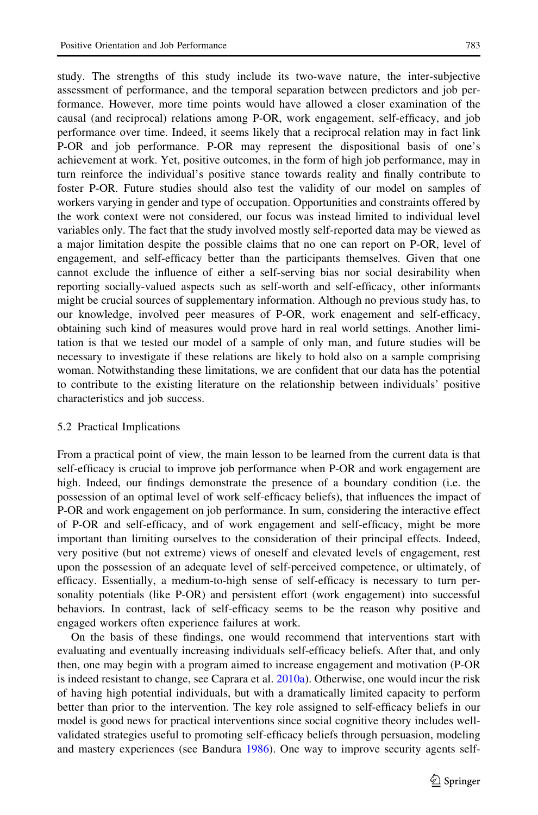study. The strengths of this study include its two-wave nature, the inter-subjective assessment of performance, and the temporal separation between predictors and job performance. However, more time points would have allowed a closer examination of the causal (and reciprocal) relations among P-OR, work engagement, self-efficacy, and job performance over time. Indeed, it seems likely that a reciprocal relation may in fact link P-OR and job performance. P-OR may represent the dispositional basis of one's achievement at work. Yet, positive outcomes, in the form of high job performance, may in turn reinforce the individual's positive stance towards reality and finally contribute to foster P-OR. Future studies should also test the validity of our model on samples of workers varying in gender and type of occupation. Opportunities and constraints offered by the work context were not considered, our focus was instead limited to individual level variables only. The fact that the study involved mostly self-reported data may be viewed as a major limitation despite the possible claims that no one can report on P-OR, level of engagement, and self-efficacy better than the participants themselves. Given that one cannot exclude the influence of either a self-serving bias nor social desirability when reporting socially-valued aspects such as self-worth and self-efficacy, other informants might be crucial sources of supplementary information. Although no previous study has, to our knowledge, involved peer measures of P-OR, work enagement and self-efficacy, obtaining such kind of measures would prove hard in real world settings. Another limitation is that we tested our model of a sample of only man, and future studies will be necessary to investigate if these relations are likely to hold also on a sample comprising woman. Notwithstanding these limitations, we are confident that our data has the potential to contribute to the existing literature on the relationship between individuals' positive characteristics and job success.

## 5.2 Practical Implications

From a practical point of view, the main lesson to be learned from the current data is that self-efficacy is crucial to improve job performance when P-OR and work engagement are high. Indeed, our findings demonstrate the presence of a boundary condition (i.e. the possession of an optimal level of work self-efficacy beliefs), that influences the impact of P-OR and work engagement on job performance. In sum, considering the interactive effect of P-OR and self-efficacy, and of work engagement and self-efficacy, might be more important than limiting ourselves to the consideration of their principal effects. Indeed, very positive (but not extreme) views of oneself and elevated levels of engagement, rest upon the possession of an adequate level of self-perceived competence, or ultimately, of efficacy. Essentially, a medium-to-high sense of self-efficacy is necessary to turn personality potentials (like P-OR) and persistent effort (work engagement) into successful behaviors. In contrast, lack of self-efficacy seems to be the reason why positive and engaged workers often experience failures at work.

On the basis of these findings, one would recommend that interventions start with evaluating and eventually increasing individuals self-efficacy beliefs. After that, and only then, one may begin with a program aimed to increase engagement and motivation (P-OR is indeed resistant to change, see Caprara et al. [2010a](#page-18-0)). Otherwise, one would incur the risk of having high potential individuals, but with a dramatically limited capacity to perform better than prior to the intervention. The key role assigned to self-efficacy beliefs in our model is good news for practical interventions since social cognitive theory includes wellvalidated strategies useful to promoting self-efficacy beliefs through persuasion, modeling and mastery experiences (see Bandura [1986\)](#page-17-0). One way to improve security agents self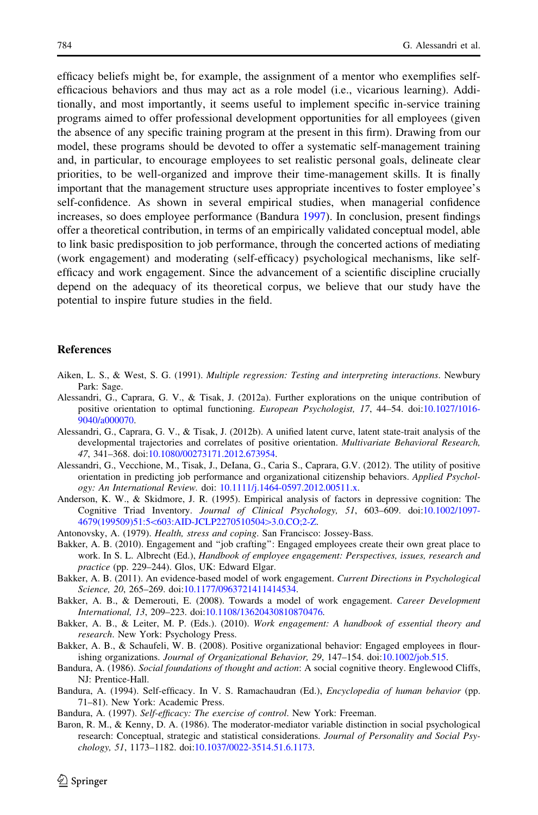<span id="page-17-0"></span>efficacy beliefs might be, for example, the assignment of a mentor who exemplifies selfefficacious behaviors and thus may act as a role model (i.e., vicarious learning). Additionally, and most importantly, it seems useful to implement specific in-service training programs aimed to offer professional development opportunities for all employees (given the absence of any specific training program at the present in this firm). Drawing from our model, these programs should be devoted to offer a systematic self-management training and, in particular, to encourage employees to set realistic personal goals, delineate clear priorities, to be well-organized and improve their time-management skills. It is finally important that the management structure uses appropriate incentives to foster employee's self-confidence. As shown in several empirical studies, when managerial confidence increases, so does employee performance (Bandura 1997). In conclusion, present findings offer a theoretical contribution, in terms of an empirically validated conceptual model, able to link basic predisposition to job performance, through the concerted actions of mediating (work engagement) and moderating (self-efficacy) psychological mechanisms, like selfefficacy and work engagement. Since the advancement of a scientific discipline crucially depend on the adequacy of its theoretical corpus, we believe that our study have the potential to inspire future studies in the field.

## **References**

- Aiken, L. S., & West, S. G. (1991). Multiple regression: Testing and interpreting interactions. Newbury Park: Sage.
- Alessandri, G., Caprara, G. V., & Tisak, J. (2012a). Further explorations on the unique contribution of positive orientation to optimal functioning. European Psychologist, 17, 44–54. doi[:10.1027/1016-](http://dx.doi.org/10.1027/1016-9040/a000070) [9040/a000070](http://dx.doi.org/10.1027/1016-9040/a000070).
- Alessandri, G., Caprara, G. V., & Tisak, J. (2012b). A unified latent curve, latent state-trait analysis of the developmental trajectories and correlates of positive orientation. Multivariate Behavioral Research, 47, 341–368. doi[:10.1080/00273171.2012.673954.](http://dx.doi.org/10.1080/00273171.2012.673954)
- Alessandri, G., Vecchione, M., Tisak, J., DeIana, G., Caria S., Caprara, G.V. (2012). The utility of positive orientation in predicting job performance and organizational citizenship behaviors. Applied Psychology: An International Review. doi: [10.1111/j.1464-0597.2012.00511.x](http://dx.doi.org/10.1111/j.1464-0597.2012.00511.x).
- Anderson, K. W., & Skidmore, J. R. (1995). Empirical analysis of factors in depressive cognition: The Cognitive Triad Inventory. Journal of Clinical Psychology, 51, 603–609. doi:[10.1002/1097-](http://dx.doi.org/10.1002/1097-4679(199509)51:5%3c603:AID-JCLP2270510504%3e3.0.CO;2-Z) 4679(199509)51:5<[603:AID-JCLP2270510504](http://dx.doi.org/10.1002/1097-4679(199509)51:5%3c603:AID-JCLP2270510504%3e3.0.CO;2-Z)>3.0.CO;2-Z.
- Antonovsky, A. (1979). Health, stress and coping. San Francisco: Jossey-Bass.
- Bakker, A. B. (2010). Engagement and ''job crafting'': Engaged employees create their own great place to work. In S. L. Albrecht (Ed.), Handbook of employee engagement: Perspectives, issues, research and practice (pp. 229–244). Glos, UK: Edward Elgar.
- Bakker, A. B. (2011). An evidence-based model of work engagement. Current Directions in Psychological Science, 20, 265–269. doi[:10.1177/0963721411414534.](http://dx.doi.org/10.1177/0963721411414534)
- Bakker, A. B., & Demerouti, E. (2008). Towards a model of work engagement. Career Development International, 13, 209–223. doi:[10.1108/13620430810870476.](http://dx.doi.org/10.1108/13620430810870476)
- Bakker, A. B., & Leiter, M. P. (Eds.). (2010). Work engagement: A handbook of essential theory and research. New York: Psychology Press.
- Bakker, A. B., & Schaufeli, W. B. (2008). Positive organizational behavior: Engaged employees in flourishing organizations. Journal of Organizational Behavior, 29, 147–154. doi[:10.1002/job.515.](http://dx.doi.org/10.1002/job.515)
- Bandura, A. (1986). Social foundations of thought and action: A social cognitive theory. Englewood Cliffs, NJ: Prentice-Hall.
- Bandura, A. (1994). Self-efficacy. In V. S. Ramachaudran (Ed.), Encyclopedia of human behavior (pp. 71–81). New York: Academic Press.
- Bandura, A. (1997). Self-efficacy: The exercise of control. New York: Freeman.
- Baron, R. M., & Kenny, D. A. (1986). The moderator-mediator variable distinction in social psychological research: Conceptual, strategic and statistical considerations. Journal of Personality and Social Psychology, 51, 1173–1182. doi[:10.1037/0022-3514.51.6.1173](http://dx.doi.org/10.1037/0022-3514.51.6.1173).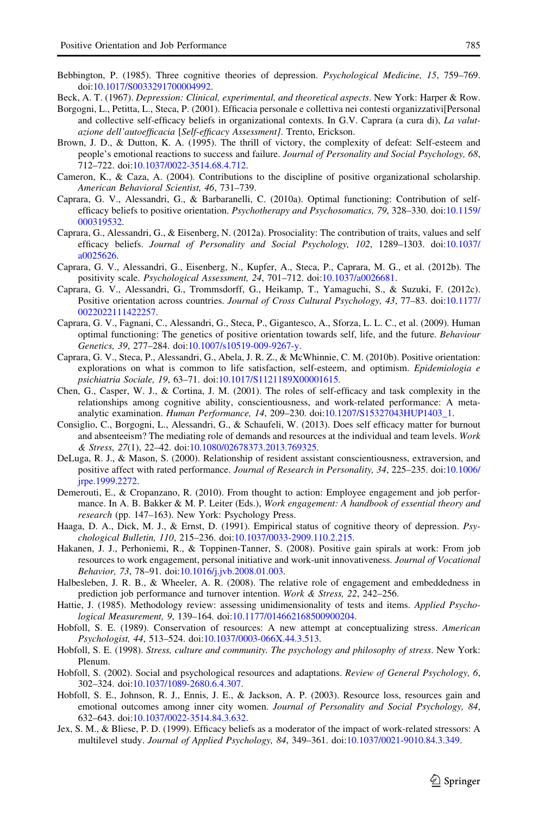- <span id="page-18-0"></span>Bebbington, P. (1985). Three cognitive theories of depression. Psychological Medicine, 15, 759–769. doi[:10.1017/S0033291700004992](http://dx.doi.org/10.1017/S0033291700004992).
- Beck, A. T. (1967). Depression: Clinical, experimental, and theoretical aspects. New York: Harper & Row.
- Borgogni, L., Petitta, L., Steca, P. (2001). Efficacia personale e collettiva nei contesti organizzativi[Personal and collective self-efficacy beliefs in organizational contexts. In G.V. Caprara (a cura di), La valutazione dell'autoefficacia [Self-efficacy Assessment]. Trento, Erickson.
- Brown, J. D., & Dutton, K. A. (1995). The thrill of victory, the complexity of defeat: Self-esteem and people's emotional reactions to success and failure. Journal of Personality and Social Psychology, 68, 712–722. doi:[10.1037/0022-3514.68.4.712.](http://dx.doi.org/10.1037/0022-3514.68.4.712)
- Cameron, K., & Caza, A. (2004). Contributions to the discipline of positive organizational scholarship. American Behavioral Scientist, 46, 731–739.
- Caprara, G. V., Alessandri, G., & Barbaranelli, C. (2010a). Optimal functioning: Contribution of selfefficacy beliefs to positive orientation. Psychotherapy and Psychosomatics, 79, 328–330. doi:[10.1159/](http://dx.doi.org/10.1159/000319532) [000319532.](http://dx.doi.org/10.1159/000319532)
- Caprara, G., Alessandri, G., & Eisenberg, N. (2012a). Prosociality: The contribution of traits, values and self efficacy beliefs. Journal of Personality and Social Psychology, 102, 1289–1303. doi:[10.1037/](http://dx.doi.org/10.1037/a0025626) [a0025626](http://dx.doi.org/10.1037/a0025626).
- Caprara, G. V., Alessandri, G., Eisenberg, N., Kupfer, A., Steca, P., Caprara, M. G., et al. (2012b). The positivity scale. Psychological Assessment, 24, 701–712. doi[:10.1037/a0026681.](http://dx.doi.org/10.1037/a0026681)
- Caprara, G. V., Alessandri, G., Trommsdorff, G., Heikamp, T., Yamaguchi, S., & Suzuki, F. (2012c). Positive orientation across countries. Journal of Cross Cultural Psychology, 43, 77–83. doi:[10.1177/](http://dx.doi.org/10.1177/0022022111422257) [0022022111422257](http://dx.doi.org/10.1177/0022022111422257).
- Caprara, G. V., Fagnani, C., Alessandri, G., Steca, P., Gigantesco, A., Sforza, L. L. C., et al. (2009). Human optimal functioning: The genetics of positive orientation towards self, life, and the future. Behaviour Genetics, 39, 277–284. doi:[10.1007/s10519-009-9267-y.](http://dx.doi.org/10.1007/s10519-009-9267-y)
- Caprara, G. V., Steca, P., Alessandri, G., Abela, J. R. Z., & McWhinnie, C. M. (2010b). Positive orientation: explorations on what is common to life satisfaction, self-esteem, and optimism. Epidemiologia  $e$ psichiatria Sociale, 19, 63–71. doi:[10.1017/S1121189X00001615](http://dx.doi.org/10.1017/S1121189X00001615).
- Chen, G., Casper, W. J., & Cortina, J. M. (2001). The roles of self-efficacy and task complexity in the relationships among cognitive ability, conscientiousness, and work-related performance: A metaanalytic examination. Human Performance, 14, 209–230. doi:[10.1207/S15327043HUP1403\\_1](http://dx.doi.org/10.1207/S15327043HUP1403_1).
- Consiglio, C., Borgogni, L., Alessandri, G., & Schaufeli, W. (2013). Does self efficacy matter for burnout and absenteeism? The mediating role of demands and resources at the individual and team levels. Work & Stress, 27(1), 22–42. doi[:10.1080/02678373.2013.769325.](http://dx.doi.org/10.1080/02678373.2013.769325)
- DeLuga, R. J., & Mason, S. (2000). Relationship of resident assistant conscientiousness, extraversion, and positive affect with rated performance. Journal of Research in Personality, 34, 225–235. doi:[10.1006/](http://dx.doi.org/10.1006/jrpe.1999.2272) [jrpe.1999.2272.](http://dx.doi.org/10.1006/jrpe.1999.2272)
- Demerouti, E., & Cropanzano, R. (2010). From thought to action: Employee engagement and job performance. In A. B. Bakker & M. P. Leiter (Eds.), Work engagement: A handbook of essential theory and research (pp. 147–163). New York: Psychology Press.
- Haaga, D. A., Dick, M. J., & Ernst, D. (1991). Empirical status of cognitive theory of depression. Psychological Bulletin, 110, 215–236. doi:[10.1037/0033-2909.110.2.215.](http://dx.doi.org/10.1037/0033-2909.110.2.215)
- Hakanen, J. J., Perhoniemi, R., & Toppinen-Tanner, S. (2008). Positive gain spirals at work: From job resources to work engagement, personal initiative and work-unit innovativeness. Journal of Vocational Behavior, 73, 78–91. doi[:10.1016/j.jvb.2008.01.003](http://dx.doi.org/10.1016/j.jvb.2008.01.003).
- Halbesleben, J. R. B., & Wheeler, A. R. (2008). The relative role of engagement and embeddedness in prediction job performance and turnover intention. Work & Stress, 22, 242–256.
- Hattie, J. (1985). Methodology review: assessing unidimensionality of tests and items. Applied Psychological Measurement, 9, 139–164. doi[:10.1177/014662168500900204.](http://dx.doi.org/10.1177/014662168500900204)
- Hobfoll, S. E. (1989). Conservation of resources: A new attempt at conceptualizing stress. American Psychologist, 44, 513–524. doi:[10.1037/0003-066X.44.3.513.](http://dx.doi.org/10.1037/0003-066X.44.3.513)
- Hobfoll, S. E. (1998). Stress, culture and community. The psychology and philosophy of stress. New York: Plenum.
- Hobfoll, S. (2002). Social and psychological resources and adaptations. Review of General Psychology, 6, 302–324. doi:[10.1037/1089-2680.6.4.307](http://dx.doi.org/10.1037/1089-2680.6.4.307).
- Hobfoll, S. E., Johnson, R. J., Ennis, J. E., & Jackson, A. P. (2003). Resource loss, resources gain and emotional outcomes among inner city women. Journal of Personality and Social Psychology, 84, 632–643. doi:[10.1037/0022-3514.84.3.632.](http://dx.doi.org/10.1037/0022-3514.84.3.632)
- Jex, S. M., & Bliese, P. D. (1999). Efficacy beliefs as a moderator of the impact of work-related stressors: A multilevel study. Journal of Applied Psychology, 84, 349–361. doi[:10.1037/0021-9010.84.3.349.](http://dx.doi.org/10.1037/0021-9010.84.3.349)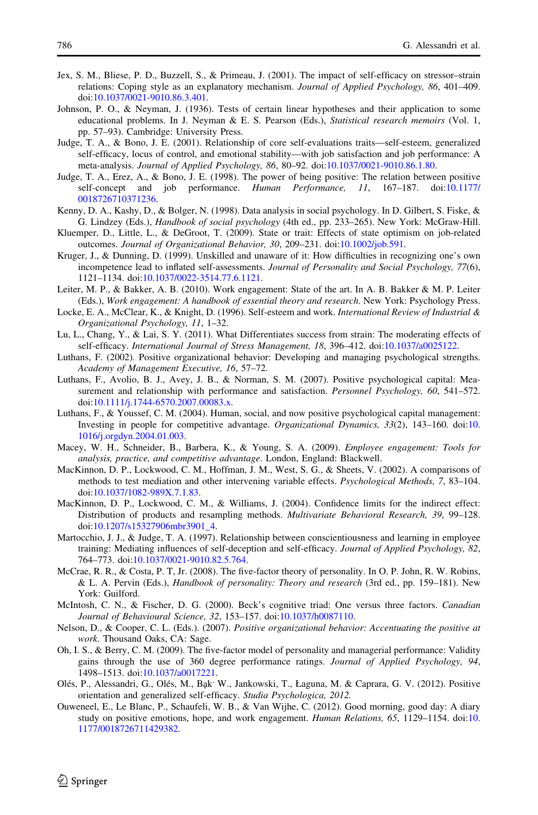- <span id="page-19-0"></span>Jex, S. M., Bliese, P. D., Buzzell, S., & Primeau, J. (2001). The impact of self-efficacy on stressor–strain relations: Coping style as an explanatory mechanism. Journal of Applied Psychology, 86, 401–409. doi[:10.1037/0021-9010.86.3.401](http://dx.doi.org/10.1037/0021-9010.86.3.401).
- Johnson, P. O., & Neyman, J. (1936). Tests of certain linear hypotheses and their application to some educational problems. In J. Neyman & E. S. Pearson (Eds.), Statistical research memoirs (Vol. 1, pp. 57–93). Cambridge: University Press.
- Judge, T. A., & Bono, J. E. (2001). Relationship of core self-evaluations traits—self-esteem, generalized self-efficacy, locus of control, and emotional stability—with job satisfaction and job performance: A meta-analysis. Journal of Applied Psychology, 86, 80–92. doi[:10.1037/0021-9010.86.1.80](http://dx.doi.org/10.1037/0021-9010.86.1.80).
- Judge, T. A., Erez, A., & Bono, J. E. (1998). The power of being positive: The relation between positive self-concept and job performance. Human Performance, 11, 167–187. doi:[10.1177/](http://dx.doi.org/10.1177/0018726710371236) [0018726710371236](http://dx.doi.org/10.1177/0018726710371236).
- Kenny, D. A., Kashy, D., & Bolger, N. (1998). Data analysis in social psychology. In D. Gilbert, S. Fiske, & G. Lindzey (Eds.), Handbook of social psychology (4th ed., pp. 233–265). New York: McGraw-Hill.
- Kluemper, D., Little, L., & DeGroot, T. (2009). State or trait: Effects of state optimism on job-related outcomes. Journal of Organizational Behavior, 30, 209–231. doi:[10.1002/job.591.](http://dx.doi.org/10.1002/job.591)
- Kruger, J., & Dunning, D. (1999). Unskilled and unaware of it: How difficulties in recognizing one's own incompetence lead to inflated self-assessments. Journal of Personality and Social Psychology, 77(6), 1121–1134. doi:[10.1037/0022-3514.77.6.1121.](http://dx.doi.org/10.1037/0022-3514.77.6.1121)
- Leiter, M. P., & Bakker, A. B. (2010). Work engagement: State of the art. In A. B. Bakker & M. P. Leiter (Eds.), Work engagement: A handbook of essential theory and research. New York: Psychology Press.
- Locke, E. A., McClear, K., & Knight, D. (1996). Self-esteem and work. International Review of Industrial & Organizational Psychology, 11, 1–32.
- Lu, L., Chang, Y., & Lai, S. Y. (2011). What Differentiates success from strain: The moderating effects of self-efficacy. International Journal of Stress Management, 18, 396–412. doi[:10.1037/a0025122.](http://dx.doi.org/10.1037/a0025122)
- Luthans, F. (2002). Positive organizational behavior: Developing and managing psychological strengths. Academy of Management Executive, 16, 57–72.
- Luthans, F., Avolio, B. J., Avey, J. B., & Norman, S. M. (2007). Positive psychological capital: Measurement and relationship with performance and satisfaction. Personnel Psychology, 60, 541–572. doi[:10.1111/j.1744-6570.2007.00083.x.](http://dx.doi.org/10.1111/j.1744-6570.2007.00083.x)
- Luthans, F., & Youssef, C. M. (2004). Human, social, and now positive psychological capital management: Investing in people for competitive advantage. Organizational Dynamics, 33(2), 143–160. doi:[10.](http://dx.doi.org/10.1016/j.orgdyn.2004.01.003) [1016/j.orgdyn.2004.01.003](http://dx.doi.org/10.1016/j.orgdyn.2004.01.003).
- Macey, W. H., Schneider, B., Barbera, K., & Young, S. A. (2009). Employee engagement: Tools for analysis, practice, and competitive advantage. London, England: Blackwell.
- MacKinnon, D. P., Lockwood, C. M., Hoffman, J. M., West, S. G., & Sheets, V. (2002). A comparisons of methods to test mediation and other intervening variable effects. Psychological Methods, 7, 83–104. doi[:10.1037/1082-989X.7.1.83](http://dx.doi.org/10.1037/1082-989X.7.1.83).
- MacKinnon, D. P., Lockwood, C. M., & Williams, J. (2004). Confidence limits for the indirect effect: Distribution of products and resampling methods. Multivariate Behavioral Research, 39, 99–128. doi[:10.1207/s15327906mbr3901\\_4.](http://dx.doi.org/10.1207/s15327906mbr3901_4)
- Martocchio, J. J., & Judge, T. A. (1997). Relationship between conscientiousness and learning in employee training: Mediating influences of self-deception and self-efficacy. Journal of Applied Psychology, 82, 764–773. doi:[10.1037/0021-9010.82.5.764.](http://dx.doi.org/10.1037/0021-9010.82.5.764)
- McCrae, R. R., & Costa, P. T, Jr. (2008). The five-factor theory of personality. In O. P. John, R. W. Robins, & L. A. Pervin (Eds.), Handbook of personality: Theory and research (3rd ed., pp. 159–181). New York: Guilford.
- McIntosh, C. N., & Fischer, D. G. (2000). Beck's cognitive triad: One versus three factors. Canadian Journal of Behavioural Science, 32, 153–157. doi:[10.1037/h0087110.](http://dx.doi.org/10.1037/h0087110)
- Nelson, D., & Cooper, C. L. (Eds.). (2007). Positive organizational behavior: Accentuating the positive at work. Thousand Oaks, CA: Sage.
- Oh, I. S., & Berry, C. M. (2009). The five-factor model of personality and managerial performance: Validity gains through the use of 360 degree performance ratings. Journal of Applied Psychology, 94, 1498–1513. doi:[10.1037/a0017221](http://dx.doi.org/10.1037/a0017221).
- Olés, P., Alessandri, G., Olés, M., Bak<sup>,</sup> W., Jankowski, T., Łaguna, M. & Caprara, G. V. (2012). Positive orientation and generalized self-efficacy. Studia Psychologica, 2012.
- Ouweneel, E., Le Blanc, P., Schaufeli, W. B., & Van Wijhe, C. (2012). Good morning, good day: A diary study on positive emotions, hope, and work engagement. Human Relations, 65, 1129–1154. doi:[10.](http://dx.doi.org/10.1177/0018726711429382) [1177/0018726711429382](http://dx.doi.org/10.1177/0018726711429382).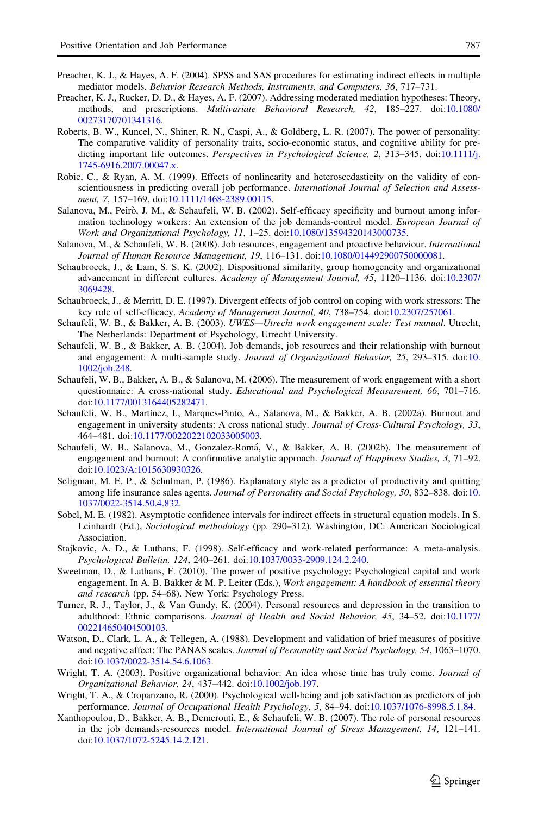- <span id="page-20-0"></span>Preacher, K. J., & Hayes, A. F. (2004). SPSS and SAS procedures for estimating indirect effects in multiple mediator models. Behavior Research Methods, Instruments, and Computers, 36, 717–731.
- Preacher, K. J., Rucker, D. D., & Hayes, A. F. (2007). Addressing moderated mediation hypotheses: Theory, methods, and prescriptions. Multivariate Behavioral Research, 42, 185–227. doi:[10.1080/](http://dx.doi.org/10.1080/00273170701341316) [00273170701341316](http://dx.doi.org/10.1080/00273170701341316).
- Roberts, B. W., Kuncel, N., Shiner, R. N., Caspi, A., & Goldberg, L. R. (2007). The power of personality: The comparative validity of personality traits, socio-economic status, and cognitive ability for predicting important life outcomes. *Perspectives in Psychological Science*, 2, 313–345. doi[:10.1111/j.](http://dx.doi.org/10.1111/j.1745-6916.2007.00047.x) [1745-6916.2007.00047.x.](http://dx.doi.org/10.1111/j.1745-6916.2007.00047.x)
- Robie, C., & Ryan, A. M. (1999). Effects of nonlinearity and heteroscedasticity on the validity of conscientiousness in predicting overall job performance. International Journal of Selection and Assess-ment, 7, 157-169. doi[:10.1111/1468-2389.00115.](http://dx.doi.org/10.1111/1468-2389.00115)
- Salanova, M., Peirò, J. M., & Schaufeli, W. B. (2002). Self-efficacy specificity and burnout among information technology workers: An extension of the job demands-control model. European Journal of Work and Organizational Psychology, 11, 1–25. doi[:10.1080/13594320143000735](http://dx.doi.org/10.1080/13594320143000735).
- Salanova, M., & Schaufeli, W. B. (2008). Job resources, engagement and proactive behaviour. International Journal of Human Resource Management, 19, 116–131. doi[:10.1080/014492900750000081.](http://dx.doi.org/10.1080/014492900750000081)
- Schaubroeck, J., & Lam, S. S. K. (2002). Dispositional similarity, group homogeneity and organizational advancement in different cultures. Academy of Management Journal, 45, 1120–1136. doi:[10.2307/](http://dx.doi.org/10.2307/3069428) [3069428.](http://dx.doi.org/10.2307/3069428)
- Schaubroeck, J., & Merritt, D. E. (1997). Divergent effects of job control on coping with work stressors: The key role of self-efficacy. Academy of Management Journal, 40, 738–754. doi[:10.2307/257061](http://dx.doi.org/10.2307/257061).
- Schaufeli, W. B., & Bakker, A. B. (2003). UWES-Utrecht work engagement scale: Test manual. Utrecht, The Netherlands: Department of Psychology, Utrecht University.
- Schaufeli, W. B., & Bakker, A. B. (2004). Job demands, job resources and their relationship with burnout and engagement: A multi-sample study. Journal of Organizational Behavior, 25, 293–315. doi:[10.](http://dx.doi.org/10.1002/job.248) [1002/job.248](http://dx.doi.org/10.1002/job.248).
- Schaufeli, W. B., Bakker, A. B., & Salanova, M. (2006). The measurement of work engagement with a short questionnaire: A cross-national study. Educational and Psychological Measurement, 66, 701–716. doi[:10.1177/0013164405282471.](http://dx.doi.org/10.1177/0013164405282471)
- Schaufeli, W. B., Martínez, I., Marques-Pinto, A., Salanova, M., & Bakker, A. B. (2002a). Burnout and engagement in university students: A cross national study. Journal of Cross-Cultural Psychology, 33, 464–481. doi:[10.1177/0022022102033005003](http://dx.doi.org/10.1177/0022022102033005003).
- Schaufeli, W. B., Salanova, M., Gonzalez-Romá, V., & Bakker, A. B. (2002b). The measurement of engagement and burnout: A confirmative analytic approach. Journal of Happiness Studies, 3, 71–92. doi[:10.1023/A:1015630930326.](http://dx.doi.org/10.1023/A:1015630930326)
- Seligman, M. E. P., & Schulman, P. (1986). Explanatory style as a predictor of productivity and quitting among life insurance sales agents. Journal of Personality and Social Psychology, 50, 832–838. doi:[10.](http://dx.doi.org/10.1037/0022-3514.50.4.832) [1037/0022-3514.50.4.832](http://dx.doi.org/10.1037/0022-3514.50.4.832).
- Sobel, M. E. (1982). Asymptotic confidence intervals for indirect effects in structural equation models. In S. Leinhardt (Ed.), Sociological methodology (pp. 290–312). Washington, DC: American Sociological Association.
- Stajkovic, A. D., & Luthans, F. (1998). Self-efficacy and work-related performance: A meta-analysis. Psychological Bulletin, 124, 240–261. doi[:10.1037/0033-2909.124.2.240](http://dx.doi.org/10.1037/0033-2909.124.2.240).
- Sweetman, D., & Luthans, F. (2010). The power of positive psychology: Psychological capital and work engagement. In A. B. Bakker & M. P. Leiter (Eds.), Work engagement: A handbook of essential theory and research (pp. 54–68). New York: Psychology Press.
- Turner, R. J., Taylor, J., & Van Gundy, K. (2004). Personal resources and depression in the transition to adulthood: Ethnic comparisons. Journal of Health and Social Behavior, 45, 34–52. doi:[10.1177/](http://dx.doi.org/10.1177/002214650404500103) [002214650404500103](http://dx.doi.org/10.1177/002214650404500103).
- Watson, D., Clark, L. A., & Tellegen, A. (1988). Development and validation of brief measures of positive and negative affect: The PANAS scales. Journal of Personality and Social Psychology, 54, 1063–1070. doi[:10.1037/0022-3514.54.6.1063](http://dx.doi.org/10.1037/0022-3514.54.6.1063).
- Wright, T. A. (2003). Positive organizational behavior: An idea whose time has truly come. Journal of Organizational Behavior, 24, 437–442. doi[:10.1002/job.197.](http://dx.doi.org/10.1002/job.197)
- Wright, T. A., & Cropanzano, R. (2000). Psychological well-being and job satisfaction as predictors of job performance. Journal of Occupational Health Psychology, 5, 84–94. doi[:10.1037/1076-8998.5.1.84.](http://dx.doi.org/10.1037/1076-8998.5.1.84)
- Xanthopoulou, D., Bakker, A. B., Demerouti, E., & Schaufeli, W. B. (2007). The role of personal resources in the job demands-resources model. International Journal of Stress Management, 14, 121–141. doi[:10.1037/1072-5245.14.2.121](http://dx.doi.org/10.1037/1072-5245.14.2.121).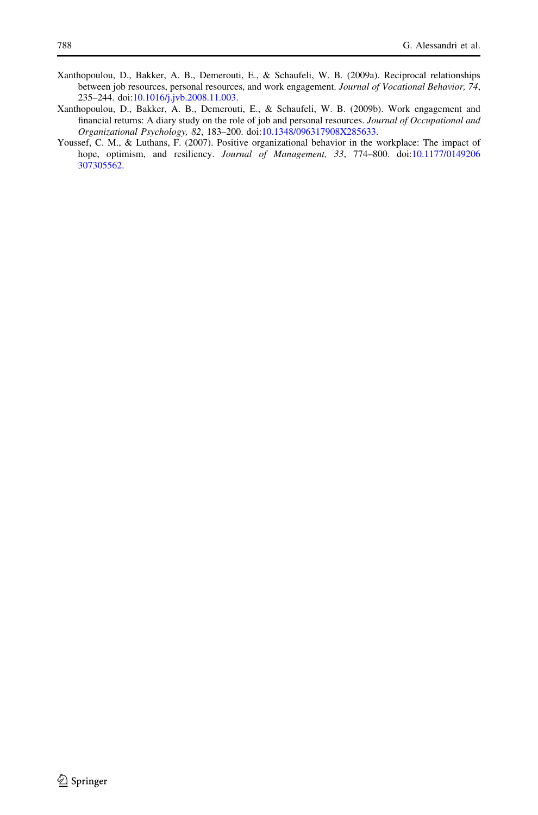- <span id="page-21-0"></span>Xanthopoulou, D., Bakker, A. B., Demerouti, E., & Schaufeli, W. B. (2009a). Reciprocal relationships between job resources, personal resources, and work engagement. Journal of Vocational Behavior, 74, 235–244. doi:[10.1016/j.jvb.2008.11.003.](http://dx.doi.org/10.1016/j.jvb.2008.11.003)
- Xanthopoulou, D., Bakker, A. B., Demerouti, E., & Schaufeli, W. B. (2009b). Work engagement and financial returns: A diary study on the role of job and personal resources. Journal of Occupational and Organizational Psychology, 82, 183–200. doi:[10.1348/096317908X285633](http://dx.doi.org/10.1348/096317908X285633).
- Youssef, C. M., & Luthans, F. (2007). Positive organizational behavior in the workplace: The impact of hope, optimism, and resiliency. Journal of Management, 33, 774–800. doi:[10.1177/0149206](http://dx.doi.org/10.1177/0149206307305562) [307305562.](http://dx.doi.org/10.1177/0149206307305562)